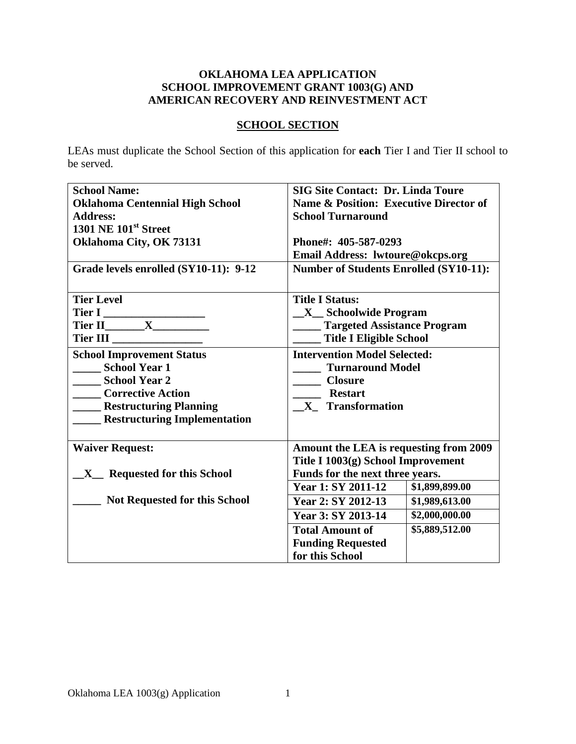### **OKLAHOMA LEA APPLICATION SCHOOL IMPROVEMENT GRANT 1003(G) AND AMERICAN RECOVERY AND REINVESTMENT ACT**

## **SCHOOL SECTION**

LEAs must duplicate the School Section of this application for **each** Tier I and Tier II school to be served.

| <b>School Name:</b>                              | <b>SIG Site Contact: Dr. Linda Toure</b>          |                |
|--------------------------------------------------|---------------------------------------------------|----------------|
| <b>Oklahoma Centennial High School</b>           | <b>Name &amp; Position: Executive Director of</b> |                |
| <b>Address:</b>                                  | <b>School Turnaround</b>                          |                |
| <b>1301 NE 101st Street</b>                      |                                                   |                |
| Oklahoma City, OK 73131                          | Phone#: 405-587-0293                              |                |
|                                                  | Email Address: lwtoure@okcps.org                  |                |
| Grade levels enrolled (SY10-11): 9-12            | <b>Number of Students Enrolled (SY10-11):</b>     |                |
|                                                  |                                                   |                |
| <b>Tier Level</b>                                | <b>Title I Status:</b>                            |                |
| Tier I                                           | <b>X</b> Schoolwide Program                       |                |
|                                                  | <b>Targeted Assistance Program</b>                |                |
| Tier III                                         | <b>Title I Eligible School</b>                    |                |
| <b>School Improvement Status</b>                 | <b>Intervention Model Selected:</b>               |                |
| <b>School Year 1</b>                             | <b>Turnaround Model</b>                           |                |
| <b>School Year 2</b>                             | <b>Closure</b>                                    |                |
| <b>Corrective Action</b>                         | <b>Restart</b>                                    |                |
| <b>Example 1 Restructuring Planning</b>          | X Transformation                                  |                |
| <b>Restructuring Implementation</b>              |                                                   |                |
|                                                  |                                                   |                |
| <b>Waiver Request:</b>                           | Amount the LEA is requesting from 2009            |                |
|                                                  | Title I 1003(g) School Improvement                |                |
| <b>Requested for this School</b><br>$\mathbf{X}$ | Funds for the next three years.                   |                |
|                                                  | <b>Year 1: SY 2011-12</b>                         | \$1,899,899.00 |
| <b>Not Requested for this School</b>             | Year 2: SY 2012-13                                | \$1,989,613.00 |
|                                                  | Year 3: SY 2013-14                                | \$2,000,000.00 |
|                                                  | <b>Total Amount of</b>                            | \$5,889,512.00 |
|                                                  | <b>Funding Requested</b>                          |                |
|                                                  | for this School                                   |                |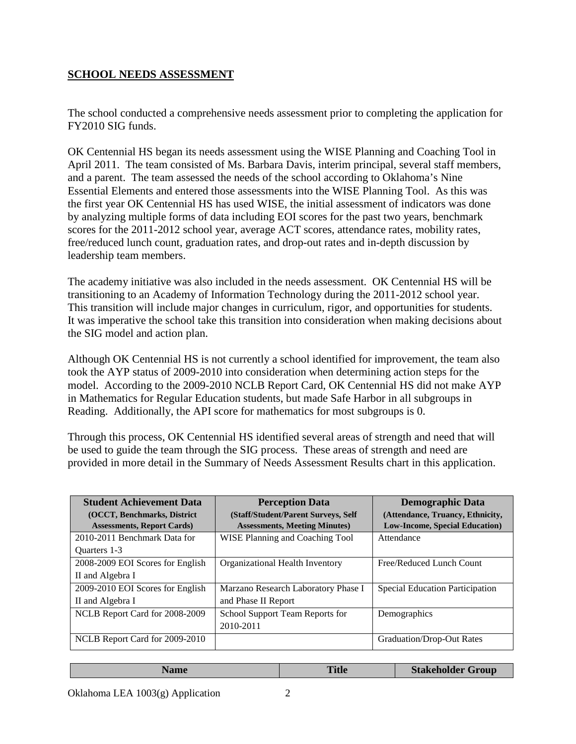## **SCHOOL NEEDS ASSESSMENT**

The school conducted a comprehensive needs assessment prior to completing the application for FY2010 SIG funds.

OK Centennial HS began its needs assessment using the WISE Planning and Coaching Tool in April 2011. The team consisted of Ms. Barbara Davis, interim principal, several staff members, and a parent. The team assessed the needs of the school according to Oklahoma's Nine Essential Elements and entered those assessments into the WISE Planning Tool. As this was the first year OK Centennial HS has used WISE, the initial assessment of indicators was done by analyzing multiple forms of data including EOI scores for the past two years, benchmark scores for the 2011-2012 school year, average ACT scores, attendance rates, mobility rates, free/reduced lunch count, graduation rates, and drop-out rates and in-depth discussion by leadership team members.

The academy initiative was also included in the needs assessment. OK Centennial HS will be transitioning to an Academy of Information Technology during the 2011-2012 school year. This transition will include major changes in curriculum, rigor, and opportunities for students. It was imperative the school take this transition into consideration when making decisions about the SIG model and action plan.

Although OK Centennial HS is not currently a school identified for improvement, the team also took the AYP status of 2009-2010 into consideration when determining action steps for the model. According to the 2009-2010 NCLB Report Card, OK Centennial HS did not make AYP in Mathematics for Regular Education students, but made Safe Harbor in all subgroups in Reading. Additionally, the API score for mathematics for most subgroups is 0.

Through this process, OK Centennial HS identified several areas of strength and need that will be used to guide the team through the SIG process. These areas of strength and need are provided in more detail in the Summary of Needs Assessment Results chart in this application.

| <b>Student Achievement Data</b>   | <b>Perception Data</b>               | <b>Demographic Data</b>                |
|-----------------------------------|--------------------------------------|----------------------------------------|
| (OCCT, Benchmarks, District       | (Staff/Student/Parent Surveys, Self) | (Attendance, Truancy, Ethnicity,       |
| <b>Assessments, Report Cards)</b> | <b>Assessments, Meeting Minutes)</b> | <b>Low-Income, Special Education</b> ) |
| 2010-2011 Benchmark Data for      | WISE Planning and Coaching Tool      | Attendance                             |
| Quarters 1-3                      |                                      |                                        |
| 2008-2009 EOI Scores for English  | Organizational Health Inventory      | Free/Reduced Lunch Count               |
| II and Algebra I                  |                                      |                                        |
| 2009-2010 EOI Scores for English  | Marzano Research Laboratory Phase I  | <b>Special Education Participation</b> |
| II and Algebra I                  | and Phase II Report                  |                                        |
| NCLB Report Card for 2008-2009    | School Support Team Reports for      | Demographics                           |
|                                   | 2010-2011                            |                                        |
| NCLB Report Card for 2009-2010    |                                      | Graduation/Drop-Out Rates              |

| ame | <b>Title</b> | <b>Stakeholder Group</b> |
|-----|--------------|--------------------------|
|     |              |                          |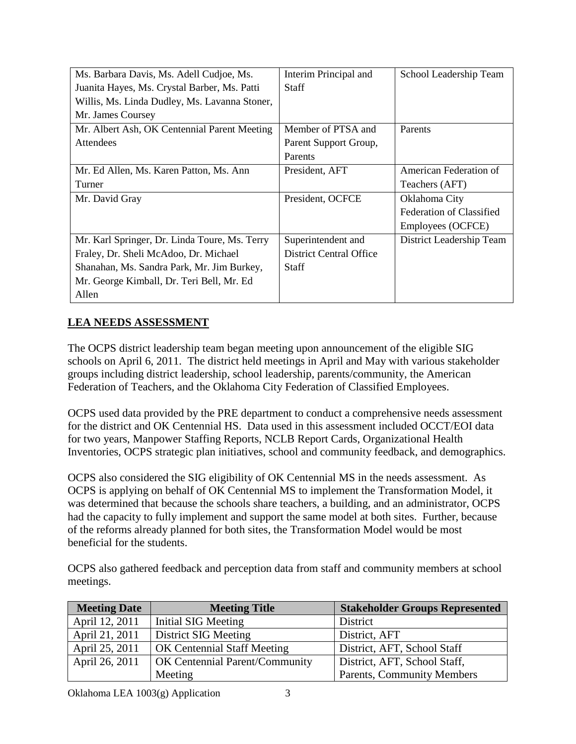| Ms. Barbara Davis, Ms. Adell Cudjoe, Ms.      | Interim Principal and   | School Leadership Team          |
|-----------------------------------------------|-------------------------|---------------------------------|
| Juanita Hayes, Ms. Crystal Barber, Ms. Patti  | <b>Staff</b>            |                                 |
| Willis, Ms. Linda Dudley, Ms. Lavanna Stoner, |                         |                                 |
| Mr. James Coursey                             |                         |                                 |
| Mr. Albert Ash, OK Centennial Parent Meeting  | Member of PTSA and      | Parents                         |
| Attendees                                     | Parent Support Group,   |                                 |
|                                               | Parents                 |                                 |
| Mr. Ed Allen, Ms. Karen Patton, Ms. Ann       | President, AFT          | American Federation of          |
| Turner                                        |                         | Teachers (AFT)                  |
| Mr. David Gray                                | President, OCFCE        | Oklahoma City                   |
|                                               |                         | <b>Federation of Classified</b> |
|                                               |                         | Employees (OCFCE)               |
| Mr. Karl Springer, Dr. Linda Toure, Ms. Terry | Superintendent and      | District Leadership Team        |
| Fraley, Dr. Sheli McAdoo, Dr. Michael         | District Central Office |                                 |
| Shanahan, Ms. Sandra Park, Mr. Jim Burkey,    | <b>Staff</b>            |                                 |
| Mr. George Kimball, Dr. Teri Bell, Mr. Ed     |                         |                                 |
| Allen                                         |                         |                                 |

## **LEA NEEDS ASSESSMENT**

The OCPS district leadership team began meeting upon announcement of the eligible SIG schools on April 6, 2011. The district held meetings in April and May with various stakeholder groups including district leadership, school leadership, parents/community, the American Federation of Teachers, and the Oklahoma City Federation of Classified Employees.

OCPS used data provided by the PRE department to conduct a comprehensive needs assessment for the district and OK Centennial HS. Data used in this assessment included OCCT/EOI data for two years, Manpower Staffing Reports, NCLB Report Cards, Organizational Health Inventories, OCPS strategic plan initiatives, school and community feedback, and demographics.

OCPS also considered the SIG eligibility of OK Centennial MS in the needs assessment. As OCPS is applying on behalf of OK Centennial MS to implement the Transformation Model, it was determined that because the schools share teachers, a building, and an administrator, OCPS had the capacity to fully implement and support the same model at both sites. Further, because of the reforms already planned for both sites, the Transformation Model would be most beneficial for the students.

OCPS also gathered feedback and perception data from staff and community members at school meetings.

| <b>Meeting Date</b> | <b>Meeting Title</b>               | <b>Stakeholder Groups Represented</b> |
|---------------------|------------------------------------|---------------------------------------|
| April 12, 2011      | Initial SIG Meeting                | District                              |
| April 21, 2011      | District SIG Meeting               | District, AFT                         |
| April 25, 2011      | <b>OK Centennial Staff Meeting</b> | District, AFT, School Staff           |
| April 26, 2011      | OK Centennial Parent/Community     | District, AFT, School Staff,          |
|                     | Meeting                            | <b>Parents, Community Members</b>     |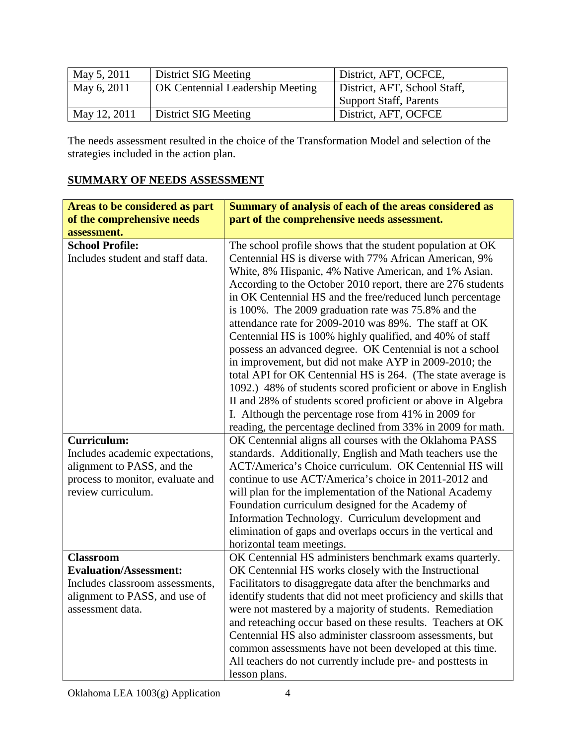| May 5, 2011  | District SIG Meeting                    | District, AFT, OCFCE,         |
|--------------|-----------------------------------------|-------------------------------|
| May 6, 2011  | <b>OK Centennial Leadership Meeting</b> | District, AFT, School Staff,  |
|              |                                         | <b>Support Staff, Parents</b> |
| May 12, 2011 | District SIG Meeting                    | District, AFT, OCFCE          |

The needs assessment resulted in the choice of the Transformation Model and selection of the strategies included in the action plan.

## **SUMMARY OF NEEDS ASSESSMENT**

| Areas to be considered as part   | Summary of analysis of each of the areas considered as                                                                 |
|----------------------------------|------------------------------------------------------------------------------------------------------------------------|
| of the comprehensive needs       | part of the comprehensive needs assessment.                                                                            |
| assessment.                      |                                                                                                                        |
| <b>School Profile:</b>           | The school profile shows that the student population at OK                                                             |
| Includes student and staff data. | Centennial HS is diverse with 77% African American, 9%                                                                 |
|                                  | White, 8% Hispanic, 4% Native American, and 1% Asian.                                                                  |
|                                  | According to the October 2010 report, there are 276 students                                                           |
|                                  | in OK Centennial HS and the free/reduced lunch percentage                                                              |
|                                  | is 100%. The 2009 graduation rate was 75.8% and the                                                                    |
|                                  | attendance rate for 2009-2010 was 89%. The staff at OK                                                                 |
|                                  | Centennial HS is 100% highly qualified, and 40% of staff                                                               |
|                                  | possess an advanced degree. OK Centennial is not a school                                                              |
|                                  | in improvement, but did not make AYP in 2009-2010; the                                                                 |
|                                  | total API for OK Centennial HS is 264. (The state average is                                                           |
|                                  | 1092.) 48% of students scored proficient or above in English                                                           |
|                                  | II and 28% of students scored proficient or above in Algebra                                                           |
|                                  | I. Although the percentage rose from 41% in 2009 for                                                                   |
| <b>Curriculum:</b>               | reading, the percentage declined from 33% in 2009 for math.<br>OK Centennial aligns all courses with the Oklahoma PASS |
| Includes academic expectations,  | standards. Additionally, English and Math teachers use the                                                             |
| alignment to PASS, and the       | ACT/America's Choice curriculum. OK Centennial HS will                                                                 |
| process to monitor, evaluate and | continue to use ACT/America's choice in 2011-2012 and                                                                  |
| review curriculum.               | will plan for the implementation of the National Academy                                                               |
|                                  | Foundation curriculum designed for the Academy of                                                                      |
|                                  | Information Technology. Curriculum development and                                                                     |
|                                  | elimination of gaps and overlaps occurs in the vertical and                                                            |
|                                  | horizontal team meetings.                                                                                              |
| <b>Classroom</b>                 | OK Centennial HS administers benchmark exams quarterly.                                                                |
| <b>Evaluation/Assessment:</b>    | OK Centennial HS works closely with the Instructional                                                                  |
| Includes classroom assessments,  | Facilitators to disaggregate data after the benchmarks and                                                             |
| alignment to PASS, and use of    | identify students that did not meet proficiency and skills that                                                        |
| assessment data.                 | were not mastered by a majority of students. Remediation                                                               |
|                                  | and reteaching occur based on these results. Teachers at OK                                                            |
|                                  | Centennial HS also administer classroom assessments, but                                                               |
|                                  | common assessments have not been developed at this time.                                                               |
|                                  | All teachers do not currently include pre- and posttests in                                                            |
|                                  | lesson plans.                                                                                                          |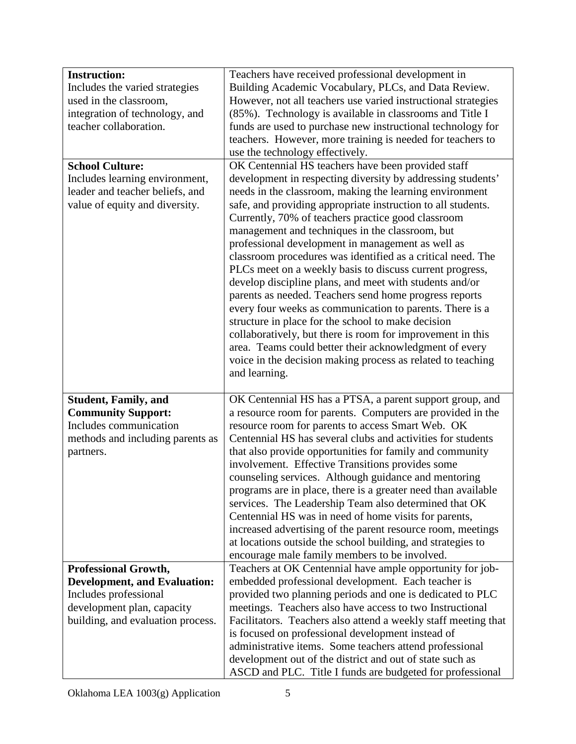| <b>Instruction:</b>                 | Teachers have received professional development in             |
|-------------------------------------|----------------------------------------------------------------|
| Includes the varied strategies      | Building Academic Vocabulary, PLCs, and Data Review.           |
| used in the classroom,              | However, not all teachers use varied instructional strategies  |
| integration of technology, and      | (85%). Technology is available in classrooms and Title I       |
| teacher collaboration.              | funds are used to purchase new instructional technology for    |
|                                     | teachers. However, more training is needed for teachers to     |
|                                     | use the technology effectively.                                |
| <b>School Culture:</b>              | OK Centennial HS teachers have been provided staff             |
| Includes learning environment,      | development in respecting diversity by addressing students'    |
| leader and teacher beliefs, and     | needs in the classroom, making the learning environment        |
| value of equity and diversity.      | safe, and providing appropriate instruction to all students.   |
|                                     | Currently, 70% of teachers practice good classroom             |
|                                     | management and techniques in the classroom, but                |
|                                     | professional development in management as well as              |
|                                     | classroom procedures was identified as a critical need. The    |
|                                     | PLCs meet on a weekly basis to discuss current progress,       |
|                                     | develop discipline plans, and meet with students and/or        |
|                                     | parents as needed. Teachers send home progress reports         |
|                                     | every four weeks as communication to parents. There is a       |
|                                     | structure in place for the school to make decision             |
|                                     | collaboratively, but there is room for improvement in this     |
|                                     | area. Teams could better their acknowledgment of every         |
|                                     | voice in the decision making process as related to teaching    |
|                                     | and learning.                                                  |
|                                     |                                                                |
| <b>Student, Family, and</b>         | OK Centennial HS has a PTSA, a parent support group, and       |
| <b>Community Support:</b>           | a resource room for parents. Computers are provided in the     |
| Includes communication              | resource room for parents to access Smart Web. OK              |
| methods and including parents as    | Centennial HS has several clubs and activities for students    |
| partners.                           | that also provide opportunities for family and community       |
|                                     | involvement. Effective Transitions provides some               |
|                                     | counseling services. Although guidance and mentoring           |
|                                     | programs are in place, there is a greater need than available  |
|                                     | services. The Leadership Team also determined that OK          |
|                                     | Centennial HS was in need of home visits for parents,          |
|                                     | increased advertising of the parent resource room, meetings    |
|                                     | at locations outside the school building, and strategies to    |
|                                     | encourage male family members to be involved.                  |
| <b>Professional Growth,</b>         | Teachers at OK Centennial have ample opportunity for job-      |
| <b>Development, and Evaluation:</b> | embedded professional development. Each teacher is             |
| Includes professional               | provided two planning periods and one is dedicated to PLC      |
| development plan, capacity          | meetings. Teachers also have access to two Instructional       |
| building, and evaluation process.   | Facilitators. Teachers also attend a weekly staff meeting that |
|                                     | is focused on professional development instead of              |
|                                     | administrative items. Some teachers attend professional        |
|                                     | development out of the district and out of state such as       |
|                                     | ASCD and PLC. Title I funds are budgeted for professional      |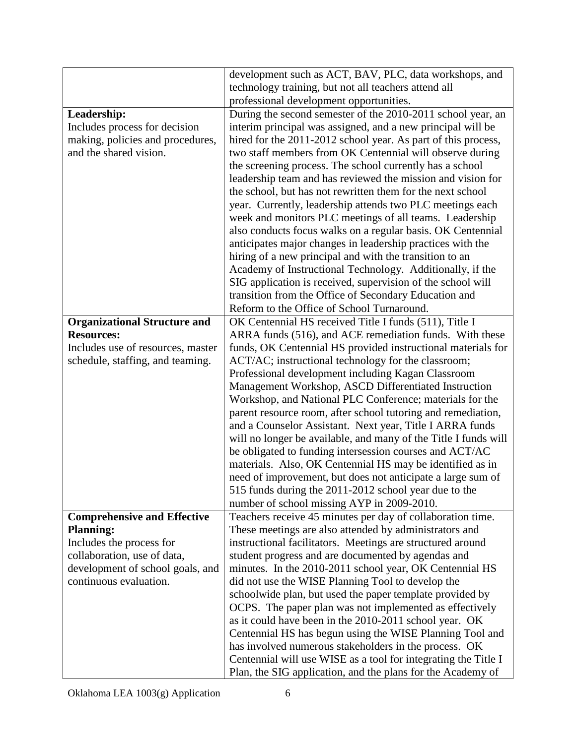|                                     | development such as ACT, BAV, PLC, data workshops, and          |
|-------------------------------------|-----------------------------------------------------------------|
|                                     | technology training, but not all teachers attend all            |
|                                     | professional development opportunities.                         |
| Leadership:                         | During the second semester of the 2010-2011 school year, an     |
| Includes process for decision       | interim principal was assigned, and a new principal will be     |
| making, policies and procedures,    | hired for the 2011-2012 school year. As part of this process,   |
| and the shared vision.              | two staff members from OK Centennial will observe during        |
|                                     | the screening process. The school currently has a school        |
|                                     | leadership team and has reviewed the mission and vision for     |
|                                     | the school, but has not rewritten them for the next school      |
|                                     | year. Currently, leadership attends two PLC meetings each       |
|                                     | week and monitors PLC meetings of all teams. Leadership         |
|                                     | also conducts focus walks on a regular basis. OK Centennial     |
|                                     | anticipates major changes in leadership practices with the      |
|                                     | hiring of a new principal and with the transition to an         |
|                                     | Academy of Instructional Technology. Additionally, if the       |
|                                     | SIG application is received, supervision of the school will     |
|                                     | transition from the Office of Secondary Education and           |
|                                     | Reform to the Office of School Turnaround.                      |
| <b>Organizational Structure and</b> | OK Centennial HS received Title I funds (511), Title I          |
| <b>Resources:</b>                   | ARRA funds (516), and ACE remediation funds. With these         |
| Includes use of resources, master   | funds, OK Centennial HS provided instructional materials for    |
| schedule, staffing, and teaming.    | ACT/AC; instructional technology for the classroom;             |
|                                     | Professional development including Kagan Classroom              |
|                                     | Management Workshop, ASCD Differentiated Instruction            |
|                                     | Workshop, and National PLC Conference; materials for the        |
|                                     | parent resource room, after school tutoring and remediation,    |
|                                     | and a Counselor Assistant. Next year, Title I ARRA funds        |
|                                     | will no longer be available, and many of the Title I funds will |
|                                     | be obligated to funding intersession courses and ACT/AC         |
|                                     | materials. Also, OK Centennial HS may be identified as in       |
|                                     | need of improvement, but does not anticipate a large sum of     |
|                                     | 515 funds during the 2011-2012 school year due to the           |
|                                     | number of school missing AYP in 2009-2010.                      |
| <b>Comprehensive and Effective</b>  | Teachers receive 45 minutes per day of collaboration time.      |
| <b>Planning:</b>                    | These meetings are also attended by administrators and          |
| Includes the process for            | instructional facilitators. Meetings are structured around      |
| collaboration, use of data,         | student progress and are documented by agendas and              |
| development of school goals, and    | minutes. In the 2010-2011 school year, OK Centennial HS         |
| continuous evaluation.              | did not use the WISE Planning Tool to develop the               |
|                                     | schoolwide plan, but used the paper template provided by        |
|                                     | OCPS. The paper plan was not implemented as effectively         |
|                                     | as it could have been in the 2010-2011 school year. OK          |
|                                     | Centennial HS has begun using the WISE Planning Tool and        |
|                                     | has involved numerous stakeholders in the process. OK           |
|                                     | Centennial will use WISE as a tool for integrating the Title I  |
|                                     | Plan, the SIG application, and the plans for the Academy of     |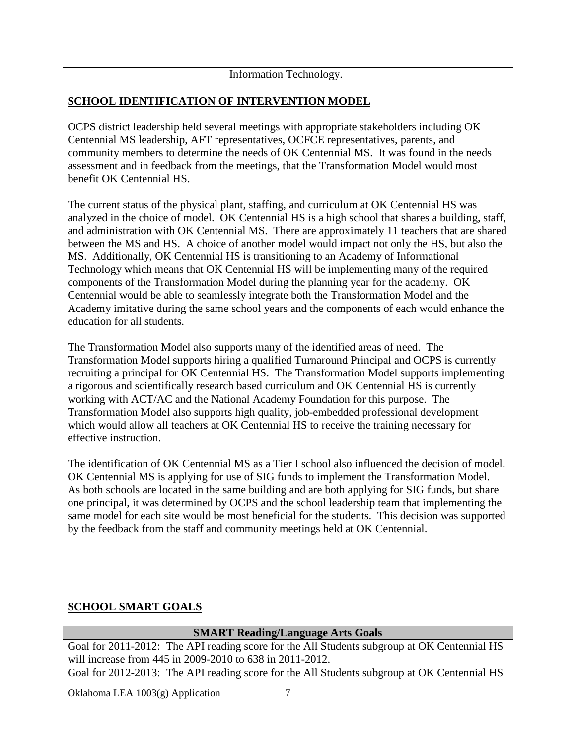| $\sim$ $\sim$ $\sim$ $\sim$<br>e.c<br>шн<br>ע טרוור<br> |
|---------------------------------------------------------|
|                                                         |

## **SCHOOL IDENTIFICATION OF INTERVENTION MODEL**

OCPS district leadership held several meetings with appropriate stakeholders including OK Centennial MS leadership, AFT representatives, OCFCE representatives, parents, and community members to determine the needs of OK Centennial MS. It was found in the needs assessment and in feedback from the meetings, that the Transformation Model would most benefit OK Centennial HS.

The current status of the physical plant, staffing, and curriculum at OK Centennial HS was analyzed in the choice of model. OK Centennial HS is a high school that shares a building, staff, and administration with OK Centennial MS. There are approximately 11 teachers that are shared between the MS and HS. A choice of another model would impact not only the HS, but also the MS. Additionally, OK Centennial HS is transitioning to an Academy of Informational Technology which means that OK Centennial HS will be implementing many of the required components of the Transformation Model during the planning year for the academy. OK Centennial would be able to seamlessly integrate both the Transformation Model and the Academy imitative during the same school years and the components of each would enhance the education for all students.

The Transformation Model also supports many of the identified areas of need. The Transformation Model supports hiring a qualified Turnaround Principal and OCPS is currently recruiting a principal for OK Centennial HS. The Transformation Model supports implementing a rigorous and scientifically research based curriculum and OK Centennial HS is currently working with ACT/AC and the National Academy Foundation for this purpose. The Transformation Model also supports high quality, job-embedded professional development which would allow all teachers at OK Centennial HS to receive the training necessary for effective instruction.

The identification of OK Centennial MS as a Tier I school also influenced the decision of model. OK Centennial MS is applying for use of SIG funds to implement the Transformation Model. As both schools are located in the same building and are both applying for SIG funds, but share one principal, it was determined by OCPS and the school leadership team that implementing the same model for each site would be most beneficial for the students. This decision was supported by the feedback from the staff and community meetings held at OK Centennial.

## **SCHOOL SMART GOALS**

| <b>SMART Reading/Language Arts Goals</b>                                                    |  |  |
|---------------------------------------------------------------------------------------------|--|--|
| Goal for 2011-2012: The API reading score for the All Students subgroup at OK Centennial HS |  |  |
| will increase from 445 in 2009-2010 to 638 in 2011-2012.                                    |  |  |
| Goal for 2012-2013: The API reading score for the All Students subgroup at OK Centennial HS |  |  |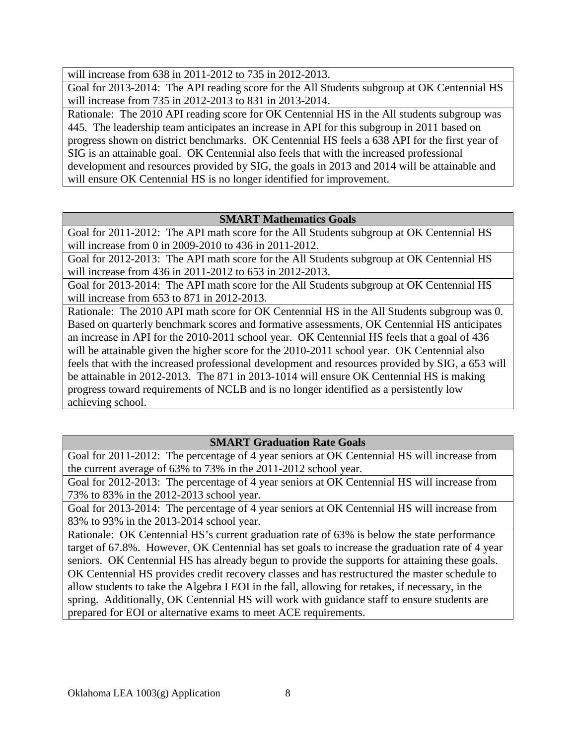will increase from 638 in 2011-2012 to 735 in 2012-2013.

Goal for 2013-2014: The API reading score for the All Students subgroup at OK Centennial HS will increase from 735 in 2012-2013 to 831 in 2013-2014.

Rationale: The 2010 API reading score for OK Centennial HS in the All students subgroup was 445. The leadership team anticipates an increase in API for this subgroup in 2011 based on progress shown on district benchmarks. OK Centennial HS feels a 638 API for the first year of SIG is an attainable goal. OK Centennial also feels that with the increased professional development and resources provided by SIG, the goals in 2013 and 2014 will be attainable and will ensure OK Centennial HS is no longer identified for improvement.

## **SMART Mathematics Goals**

Goal for 2011-2012: The API math score for the All Students subgroup at OK Centennial HS will increase from 0 in 2009-2010 to 436 in 2011-2012.

Goal for 2012-2013: The API math score for the All Students subgroup at OK Centennial HS will increase from 436 in 2011-2012 to 653 in 2012-2013.

Goal for 2013-2014: The API math score for the All Students subgroup at OK Centennial HS will increase from 653 to 871 in 2012-2013.

Rationale: The 2010 API math score for OK Centennial HS in the All Students subgroup was 0. Based on quarterly benchmark scores and formative assessments, OK Centennial HS anticipates an increase in API for the 2010-2011 school year. OK Centennial HS feels that a goal of 436 will be attainable given the higher score for the 2010-2011 school year. OK Centennial also feels that with the increased professional development and resources provided by SIG, a 653 will be attainable in 2012-2013. The 871 in 2013-1014 will ensure OK Centennial HS is making progress toward requirements of NCLB and is no longer identified as a persistently low achieving school.

## **SMART Graduation Rate Goals**

Goal for 2011-2012: The percentage of 4 year seniors at OK Centennial HS will increase from the current average of 63% to 73% in the 2011-2012 school year.

Goal for 2012-2013: The percentage of 4 year seniors at OK Centennial HS will increase from 73% to 83% in the 2012-2013 school year.

Goal for 2013-2014: The percentage of 4 year seniors at OK Centennial HS will increase from 83% to 93% in the 2013-2014 school year.

Rationale: OK Centennial HS's current graduation rate of 63% is below the state performance target of 67.8%. However, OK Centennial has set goals to increase the graduation rate of 4 year seniors. OK Centennial HS has already begun to provide the supports for attaining these goals. OK Centennial HS provides credit recovery classes and has restructured the master schedule to allow students to take the Algebra I EOI in the fall, allowing for retakes, if necessary, in the spring. Additionally, OK Centennial HS will work with guidance staff to ensure students are prepared for EOI or alternative exams to meet ACE requirements.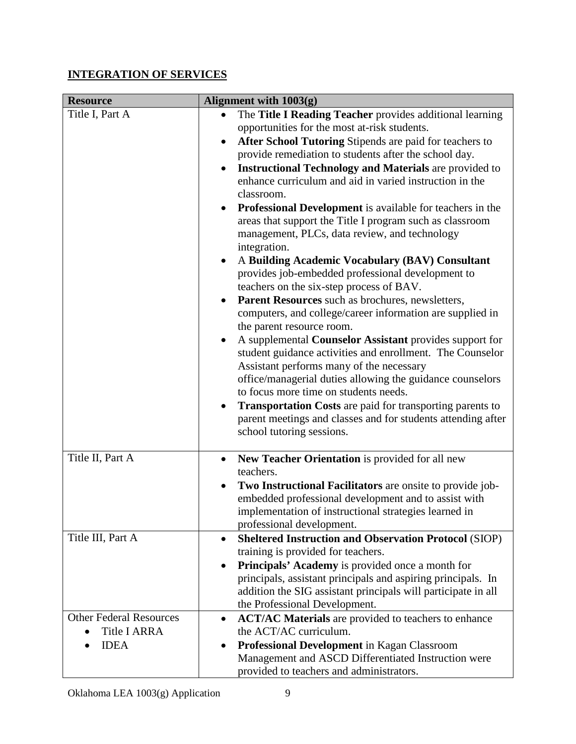# **INTEGRATION OF SERVICES**

| <b>Resource</b>                                                      | Alignment with $1003(g)$                                                                                                                                                                                                                                                                                                                                                                                                                                                                                                                                                                                                                                                                                                                                                                                                                                                                                                                                                                                                                                                                                                                                                                                                                                                                                                                |
|----------------------------------------------------------------------|-----------------------------------------------------------------------------------------------------------------------------------------------------------------------------------------------------------------------------------------------------------------------------------------------------------------------------------------------------------------------------------------------------------------------------------------------------------------------------------------------------------------------------------------------------------------------------------------------------------------------------------------------------------------------------------------------------------------------------------------------------------------------------------------------------------------------------------------------------------------------------------------------------------------------------------------------------------------------------------------------------------------------------------------------------------------------------------------------------------------------------------------------------------------------------------------------------------------------------------------------------------------------------------------------------------------------------------------|
| Title I, Part A                                                      | The Title I Reading Teacher provides additional learning<br>opportunities for the most at-risk students.<br>After School Tutoring Stipends are paid for teachers to<br>$\bullet$<br>provide remediation to students after the school day.<br><b>Instructional Technology and Materials are provided to</b><br>enhance curriculum and aid in varied instruction in the<br>classroom.<br>Professional Development is available for teachers in the<br>$\bullet$<br>areas that support the Title I program such as classroom<br>management, PLCs, data review, and technology<br>integration.<br>A Building Academic Vocabulary (BAV) Consultant<br>provides job-embedded professional development to<br>teachers on the six-step process of BAV.<br>Parent Resources such as brochures, newsletters,<br>computers, and college/career information are supplied in<br>the parent resource room.<br>A supplemental Counselor Assistant provides support for<br>student guidance activities and enrollment. The Counselor<br>Assistant performs many of the necessary<br>office/managerial duties allowing the guidance counselors<br>to focus more time on students needs.<br><b>Transportation Costs</b> are paid for transporting parents to<br>parent meetings and classes and for students attending after<br>school tutoring sessions. |
| Title II, Part A<br>Title III, Part A                                | New Teacher Orientation is provided for all new<br>teachers.<br>Two Instructional Facilitators are onsite to provide job-<br>embedded professional development and to assist with<br>implementation of instructional strategies learned in<br>professional development.<br><b>Sheltered Instruction and Observation Protocol (SIOP)</b><br>$\bullet$<br>training is provided for teachers.<br>Principals' Academy is provided once a month for                                                                                                                                                                                                                                                                                                                                                                                                                                                                                                                                                                                                                                                                                                                                                                                                                                                                                          |
|                                                                      | principals, assistant principals and aspiring principals. In<br>addition the SIG assistant principals will participate in all<br>the Professional Development.                                                                                                                                                                                                                                                                                                                                                                                                                                                                                                                                                                                                                                                                                                                                                                                                                                                                                                                                                                                                                                                                                                                                                                          |
| <b>Other Federal Resources</b><br><b>Title I ARRA</b><br><b>IDEA</b> | <b>ACT/AC Materials</b> are provided to teachers to enhance<br>$\bullet$<br>the ACT/AC curriculum.<br>Professional Development in Kagan Classroom<br>Management and ASCD Differentiated Instruction were<br>provided to teachers and administrators.                                                                                                                                                                                                                                                                                                                                                                                                                                                                                                                                                                                                                                                                                                                                                                                                                                                                                                                                                                                                                                                                                    |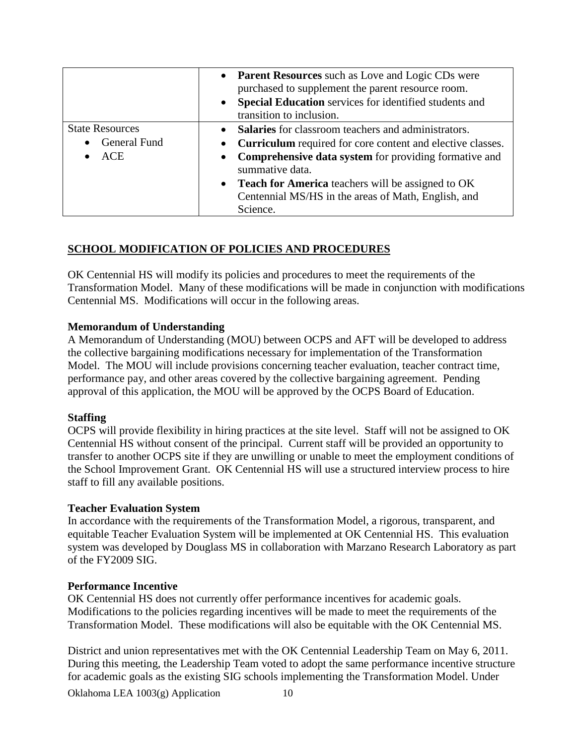|                                                      | • Parent Resources such as Love and Logic CDs were<br>purchased to supplement the parent resource room.<br>Special Education services for identified students and<br>transition to inclusion.                                                                                                                                           |
|------------------------------------------------------|-----------------------------------------------------------------------------------------------------------------------------------------------------------------------------------------------------------------------------------------------------------------------------------------------------------------------------------------|
| <b>State Resources</b><br>General Fund<br><b>ACE</b> | <b>Salaries</b> for classroom teachers and administrators.<br>• Curriculum required for core content and elective classes.<br><b>Comprehensive data system</b> for providing formative and<br>summative data.<br>• Teach for America teachers will be assigned to OK<br>Centennial MS/HS in the areas of Math, English, and<br>Science. |

## **SCHOOL MODIFICATION OF POLICIES AND PROCEDURES**

OK Centennial HS will modify its policies and procedures to meet the requirements of the Transformation Model. Many of these modifications will be made in conjunction with modifications Centennial MS. Modifications will occur in the following areas.

### **Memorandum of Understanding**

A Memorandum of Understanding (MOU) between OCPS and AFT will be developed to address the collective bargaining modifications necessary for implementation of the Transformation Model. The MOU will include provisions concerning teacher evaluation, teacher contract time, performance pay, and other areas covered by the collective bargaining agreement. Pending approval of this application, the MOU will be approved by the OCPS Board of Education.

### **Staffing**

OCPS will provide flexibility in hiring practices at the site level. Staff will not be assigned to OK Centennial HS without consent of the principal. Current staff will be provided an opportunity to transfer to another OCPS site if they are unwilling or unable to meet the employment conditions of the School Improvement Grant. OK Centennial HS will use a structured interview process to hire staff to fill any available positions.

### **Teacher Evaluation System**

In accordance with the requirements of the Transformation Model, a rigorous, transparent, and equitable Teacher Evaluation System will be implemented at OK Centennial HS. This evaluation system was developed by Douglass MS in collaboration with Marzano Research Laboratory as part of the FY2009 SIG.

### **Performance Incentive**

OK Centennial HS does not currently offer performance incentives for academic goals. Modifications to the policies regarding incentives will be made to meet the requirements of the Transformation Model. These modifications will also be equitable with the OK Centennial MS.

District and union representatives met with the OK Centennial Leadership Team on May 6, 2011. During this meeting, the Leadership Team voted to adopt the same performance incentive structure for academic goals as the existing SIG schools implementing the Transformation Model. Under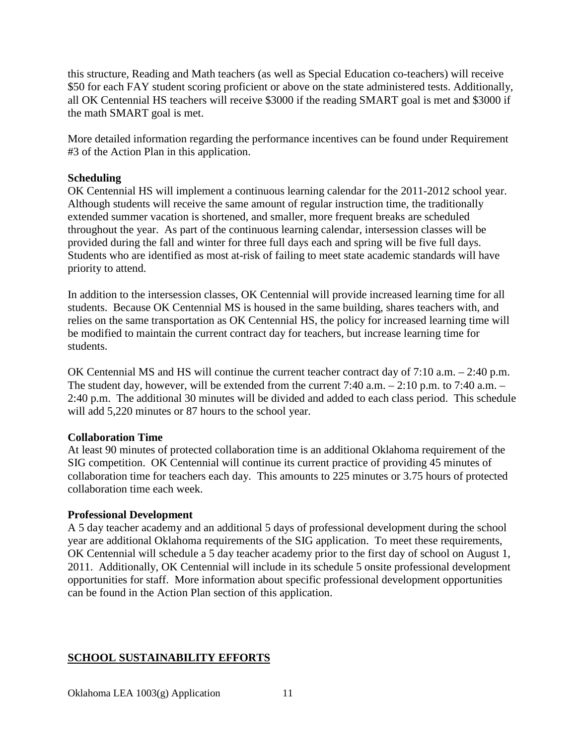this structure, Reading and Math teachers (as well as Special Education co-teachers) will receive \$50 for each FAY student scoring proficient or above on the state administered tests. Additionally, all OK Centennial HS teachers will receive \$3000 if the reading SMART goal is met and \$3000 if the math SMART goal is met.

More detailed information regarding the performance incentives can be found under Requirement #3 of the Action Plan in this application.

### **Scheduling**

OK Centennial HS will implement a continuous learning calendar for the 2011-2012 school year. Although students will receive the same amount of regular instruction time, the traditionally extended summer vacation is shortened, and smaller, more frequent breaks are scheduled throughout the year. As part of the continuous learning calendar, intersession classes will be provided during the fall and winter for three full days each and spring will be five full days. Students who are identified as most at-risk of failing to meet state academic standards will have priority to attend.

In addition to the intersession classes, OK Centennial will provide increased learning time for all students. Because OK Centennial MS is housed in the same building, shares teachers with, and relies on the same transportation as OK Centennial HS, the policy for increased learning time will be modified to maintain the current contract day for teachers, but increase learning time for students.

OK Centennial MS and HS will continue the current teacher contract day of 7:10 a.m. – 2:40 p.m. The student day, however, will be extended from the current 7:40 a.m. – 2:10 p.m. to 7:40 a.m. – 2:40 p.m. The additional 30 minutes will be divided and added to each class period. This schedule will add 5,220 minutes or 87 hours to the school year.

#### **Collaboration Time**

At least 90 minutes of protected collaboration time is an additional Oklahoma requirement of the SIG competition. OK Centennial will continue its current practice of providing 45 minutes of collaboration time for teachers each day. This amounts to 225 minutes or 3.75 hours of protected collaboration time each week.

#### **Professional Development**

A 5 day teacher academy and an additional 5 days of professional development during the school year are additional Oklahoma requirements of the SIG application. To meet these requirements, OK Centennial will schedule a 5 day teacher academy prior to the first day of school on August 1, 2011. Additionally, OK Centennial will include in its schedule 5 onsite professional development opportunities for staff. More information about specific professional development opportunities can be found in the Action Plan section of this application.

## **SCHOOL SUSTAINABILITY EFFORTS**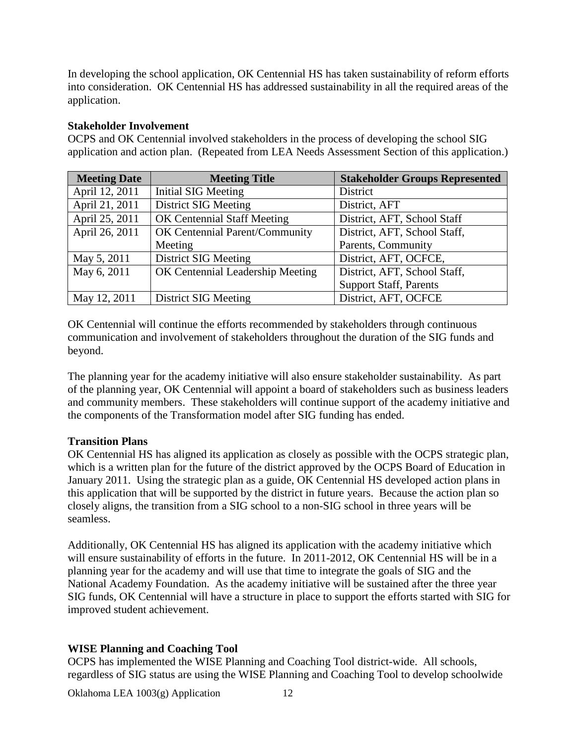In developing the school application, OK Centennial HS has taken sustainability of reform efforts into consideration. OK Centennial HS has addressed sustainability in all the required areas of the application.

### **Stakeholder Involvement**

OCPS and OK Centennial involved stakeholders in the process of developing the school SIG application and action plan. (Repeated from LEA Needs Assessment Section of this application.)

| <b>Meeting Date</b> | <b>Meeting Title</b>             | <b>Stakeholder Groups Represented</b> |
|---------------------|----------------------------------|---------------------------------------|
| April 12, 2011      | Initial SIG Meeting              | District                              |
| April 21, 2011      | <b>District SIG Meeting</b>      | District, AFT                         |
| April 25, 2011      | OK Centennial Staff Meeting      | District, AFT, School Staff           |
| April 26, 2011      | OK Centennial Parent/Community   | District, AFT, School Staff,          |
|                     | Meeting                          | Parents, Community                    |
| May 5, 2011         | <b>District SIG Meeting</b>      | District, AFT, OCFCE,                 |
| May 6, 2011         | OK Centennial Leadership Meeting | District, AFT, School Staff,          |
|                     |                                  | <b>Support Staff, Parents</b>         |
| May 12, 2011        | <b>District SIG Meeting</b>      | District, AFT, OCFCE                  |

OK Centennial will continue the efforts recommended by stakeholders through continuous communication and involvement of stakeholders throughout the duration of the SIG funds and beyond.

The planning year for the academy initiative will also ensure stakeholder sustainability. As part of the planning year, OK Centennial will appoint a board of stakeholders such as business leaders and community members. These stakeholders will continue support of the academy initiative and the components of the Transformation model after SIG funding has ended.

### **Transition Plans**

OK Centennial HS has aligned its application as closely as possible with the OCPS strategic plan, which is a written plan for the future of the district approved by the OCPS Board of Education in January 2011. Using the strategic plan as a guide, OK Centennial HS developed action plans in this application that will be supported by the district in future years. Because the action plan so closely aligns, the transition from a SIG school to a non-SIG school in three years will be seamless.

Additionally, OK Centennial HS has aligned its application with the academy initiative which will ensure sustainability of efforts in the future. In 2011-2012, OK Centennial HS will be in a planning year for the academy and will use that time to integrate the goals of SIG and the National Academy Foundation. As the academy initiative will be sustained after the three year SIG funds, OK Centennial will have a structure in place to support the efforts started with SIG for improved student achievement.

## **WISE Planning and Coaching Tool**

OCPS has implemented the WISE Planning and Coaching Tool district-wide. All schools, regardless of SIG status are using the WISE Planning and Coaching Tool to develop schoolwide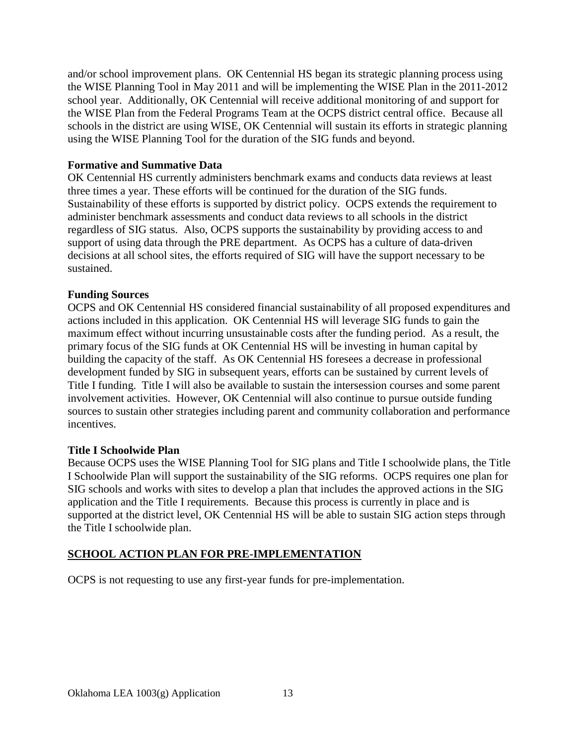and/or school improvement plans. OK Centennial HS began its strategic planning process using the WISE Planning Tool in May 2011 and will be implementing the WISE Plan in the 2011-2012 school year. Additionally, OK Centennial will receive additional monitoring of and support for the WISE Plan from the Federal Programs Team at the OCPS district central office. Because all schools in the district are using WISE, OK Centennial will sustain its efforts in strategic planning using the WISE Planning Tool for the duration of the SIG funds and beyond.

### **Formative and Summative Data**

OK Centennial HS currently administers benchmark exams and conducts data reviews at least three times a year. These efforts will be continued for the duration of the SIG funds. Sustainability of these efforts is supported by district policy. OCPS extends the requirement to administer benchmark assessments and conduct data reviews to all schools in the district regardless of SIG status. Also, OCPS supports the sustainability by providing access to and support of using data through the PRE department. As OCPS has a culture of data-driven decisions at all school sites, the efforts required of SIG will have the support necessary to be sustained.

### **Funding Sources**

OCPS and OK Centennial HS considered financial sustainability of all proposed expenditures and actions included in this application. OK Centennial HS will leverage SIG funds to gain the maximum effect without incurring unsustainable costs after the funding period. As a result, the primary focus of the SIG funds at OK Centennial HS will be investing in human capital by building the capacity of the staff. As OK Centennial HS foresees a decrease in professional development funded by SIG in subsequent years, efforts can be sustained by current levels of Title I funding. Title I will also be available to sustain the intersession courses and some parent involvement activities. However, OK Centennial will also continue to pursue outside funding sources to sustain other strategies including parent and community collaboration and performance incentives.

#### **Title I Schoolwide Plan**

Because OCPS uses the WISE Planning Tool for SIG plans and Title I schoolwide plans, the Title I Schoolwide Plan will support the sustainability of the SIG reforms. OCPS requires one plan for SIG schools and works with sites to develop a plan that includes the approved actions in the SIG application and the Title I requirements. Because this process is currently in place and is supported at the district level, OK Centennial HS will be able to sustain SIG action steps through the Title I schoolwide plan.

#### **SCHOOL ACTION PLAN FOR PRE-IMPLEMENTATION**

OCPS is not requesting to use any first-year funds for pre-implementation.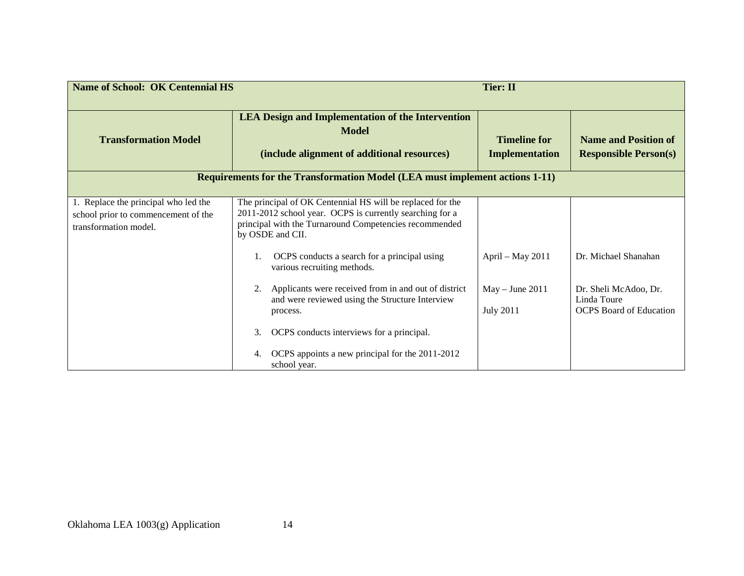| <b>Name of School: OK Centennial HS</b>                                                              |                                                                                                                                                                                                      | <b>Tier: II</b>                              |                                                                        |
|------------------------------------------------------------------------------------------------------|------------------------------------------------------------------------------------------------------------------------------------------------------------------------------------------------------|----------------------------------------------|------------------------------------------------------------------------|
| <b>Transformation Model</b>                                                                          | <b>LEA Design and Implementation of the Intervention</b><br><b>Model</b><br>(include alignment of additional resources)                                                                              | <b>Timeline for</b><br><b>Implementation</b> | <b>Name and Position of</b><br><b>Responsible Person(s)</b>            |
|                                                                                                      | <b>Requirements for the Transformation Model (LEA must implement actions 1-11)</b>                                                                                                                   |                                              |                                                                        |
| 1. Replace the principal who led the<br>school prior to commencement of the<br>transformation model. | The principal of OK Centennial HS will be replaced for the<br>2011-2012 school year. OCPS is currently searching for a<br>principal with the Turnaround Competencies recommended<br>by OSDE and CII. |                                              |                                                                        |
|                                                                                                      | OCPS conducts a search for a principal using<br>various recruiting methods.                                                                                                                          | April - May 2011                             | Dr. Michael Shanahan                                                   |
|                                                                                                      | Applicants were received from in and out of district<br>and were reviewed using the Structure Interview<br>process.                                                                                  | $May - June 2011$<br><b>July 2011</b>        | Dr. Sheli McAdoo, Dr.<br>Linda Toure<br><b>OCPS</b> Board of Education |
|                                                                                                      | OCPS conducts interviews for a principal.<br>3.<br>OCPS appoints a new principal for the 2011-2012<br>4.<br>school year.                                                                             |                                              |                                                                        |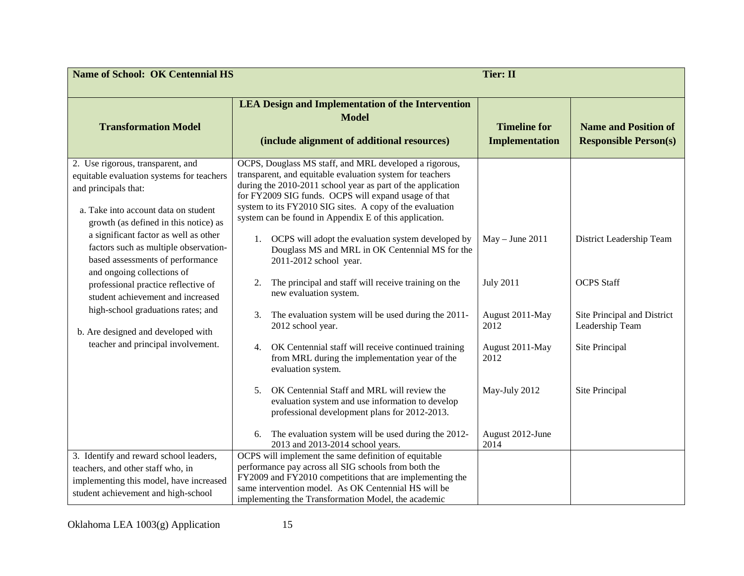| <b>Name of School: OK Centennial HS</b>                                                                                                                                                 | <b>Tier: II</b>                                                                                                                                                                                                                                                                                                                                                  |                                              |                                                             |
|-----------------------------------------------------------------------------------------------------------------------------------------------------------------------------------------|------------------------------------------------------------------------------------------------------------------------------------------------------------------------------------------------------------------------------------------------------------------------------------------------------------------------------------------------------------------|----------------------------------------------|-------------------------------------------------------------|
| <b>Transformation Model</b>                                                                                                                                                             | <b>LEA Design and Implementation of the Intervention</b><br><b>Model</b><br>(include alignment of additional resources)                                                                                                                                                                                                                                          | <b>Timeline for</b><br><b>Implementation</b> | <b>Name and Position of</b><br><b>Responsible Person(s)</b> |
| 2. Use rigorous, transparent, and<br>equitable evaluation systems for teachers<br>and principals that:<br>a. Take into account data on student<br>growth (as defined in this notice) as | OCPS, Douglass MS staff, and MRL developed a rigorous,<br>transparent, and equitable evaluation system for teachers<br>during the 2010-2011 school year as part of the application<br>for FY2009 SIG funds. OCPS will expand usage of that<br>system to its FY2010 SIG sites. A copy of the evaluation<br>system can be found in Appendix E of this application. |                                              |                                                             |
| a significant factor as well as other<br>factors such as multiple observation-<br>based assessments of performance<br>and ongoing collections of                                        | OCPS will adopt the evaluation system developed by<br>1.<br>Douglass MS and MRL in OK Centennial MS for the<br>2011-2012 school year.                                                                                                                                                                                                                            | $May - June 2011$                            | District Leadership Team                                    |
| professional practice reflective of<br>student achievement and increased                                                                                                                | The principal and staff will receive training on the<br>2.<br>new evaluation system.                                                                                                                                                                                                                                                                             | <b>July 2011</b>                             | <b>OCPS</b> Staff                                           |
| high-school graduations rates; and<br>b. Are designed and developed with                                                                                                                | The evaluation system will be used during the 2011-<br>3.<br>2012 school year.                                                                                                                                                                                                                                                                                   | August 2011-May<br>2012                      | Site Principal and District<br>Leadership Team              |
| teacher and principal involvement.                                                                                                                                                      | OK Centennial staff will receive continued training<br>4.<br>from MRL during the implementation year of the<br>evaluation system.                                                                                                                                                                                                                                | August 2011-May<br>2012                      | Site Principal                                              |
|                                                                                                                                                                                         | OK Centennial Staff and MRL will review the<br>5.<br>evaluation system and use information to develop<br>professional development plans for 2012-2013.                                                                                                                                                                                                           | May-July 2012                                | Site Principal                                              |
|                                                                                                                                                                                         | The evaluation system will be used during the 2012-<br>6.<br>2013 and 2013-2014 school years.                                                                                                                                                                                                                                                                    | August 2012-June<br>2014                     |                                                             |
| 3. Identify and reward school leaders,<br>teachers, and other staff who, in<br>implementing this model, have increased<br>student achievement and high-school                           | OCPS will implement the same definition of equitable<br>performance pay across all SIG schools from both the<br>FY2009 and FY2010 competitions that are implementing the<br>same intervention model. As OK Centennial HS will be<br>implementing the Transformation Model, the academic                                                                          |                                              |                                                             |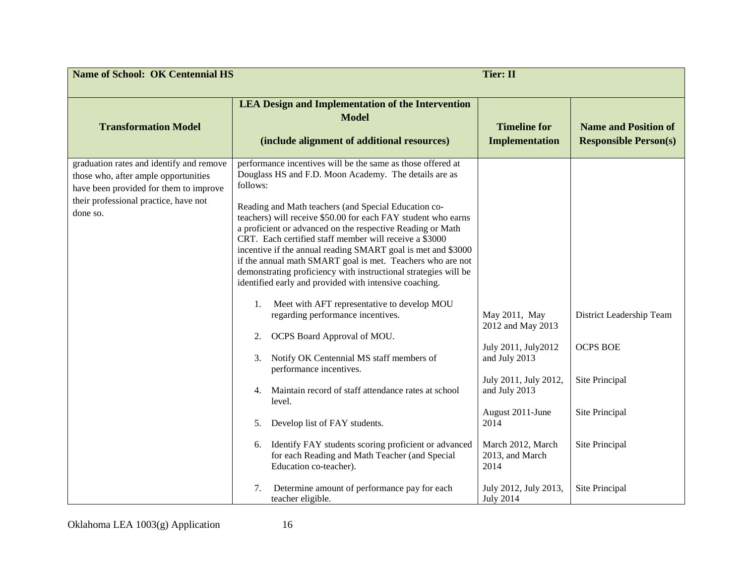| <b>Name of School: OK Centennial HS</b>                                                                                                                                         |                                                                                                                                                                                                                                                                                                                                                                                                                                                                                                                                                                                                                                                                                                                                                                                                                                                                                                                                                                                                                                                                                                                                                                                             | <b>Tier: II</b>                                                                                                                                                                                                                                |                                                                                                                     |
|---------------------------------------------------------------------------------------------------------------------------------------------------------------------------------|---------------------------------------------------------------------------------------------------------------------------------------------------------------------------------------------------------------------------------------------------------------------------------------------------------------------------------------------------------------------------------------------------------------------------------------------------------------------------------------------------------------------------------------------------------------------------------------------------------------------------------------------------------------------------------------------------------------------------------------------------------------------------------------------------------------------------------------------------------------------------------------------------------------------------------------------------------------------------------------------------------------------------------------------------------------------------------------------------------------------------------------------------------------------------------------------|------------------------------------------------------------------------------------------------------------------------------------------------------------------------------------------------------------------------------------------------|---------------------------------------------------------------------------------------------------------------------|
| <b>Transformation Model</b>                                                                                                                                                     | <b>LEA Design and Implementation of the Intervention</b><br><b>Model</b><br>(include alignment of additional resources)                                                                                                                                                                                                                                                                                                                                                                                                                                                                                                                                                                                                                                                                                                                                                                                                                                                                                                                                                                                                                                                                     | <b>Timeline for</b><br><b>Implementation</b>                                                                                                                                                                                                   | <b>Name and Position of</b><br><b>Responsible Person(s)</b>                                                         |
| graduation rates and identify and remove<br>those who, after ample opportunities<br>have been provided for them to improve<br>their professional practice, have not<br>done so. | performance incentives will be the same as those offered at<br>Douglass HS and F.D. Moon Academy. The details are as<br>follows:<br>Reading and Math teachers (and Special Education co-<br>teachers) will receive \$50.00 for each FAY student who earns<br>a proficient or advanced on the respective Reading or Math<br>CRT. Each certified staff member will receive a \$3000<br>incentive if the annual reading SMART goal is met and \$3000<br>if the annual math SMART goal is met. Teachers who are not<br>demonstrating proficiency with instructional strategies will be<br>identified early and provided with intensive coaching.<br>Meet with AFT representative to develop MOU<br>1.<br>regarding performance incentives.<br>OCPS Board Approval of MOU.<br>2.<br>Notify OK Centennial MS staff members of<br>3.<br>performance incentives.<br>Maintain record of staff attendance rates at school<br>4.<br>level.<br>Develop list of FAY students.<br>5.<br>Identify FAY students scoring proficient or advanced<br>6.<br>for each Reading and Math Teacher (and Special<br>Education co-teacher).<br>Determine amount of performance pay for each<br>7.<br>teacher eligible. | May 2011, May<br>2012 and May 2013<br>July 2011, July 2012<br>and July 2013<br>July 2011, July 2012,<br>and July 2013<br>August 2011-June<br>2014<br>March 2012, March<br>2013, and March<br>2014<br>July 2012, July 2013,<br><b>July 2014</b> | District Leadership Team<br><b>OCPS BOE</b><br>Site Principal<br>Site Principal<br>Site Principal<br>Site Principal |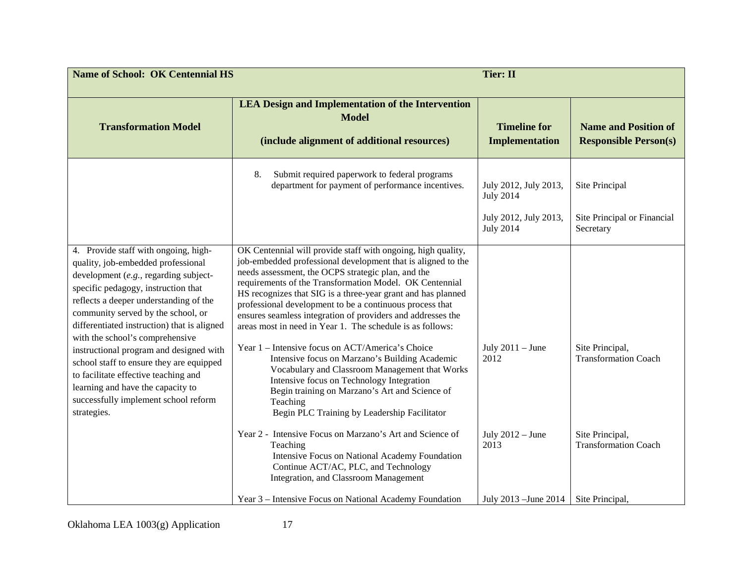| <b>Name of School: OK Centennial HS</b><br><b>Tier: II</b>                                                                                                                                                                                                                                                                                                                                                                                                                                                                                              |                                                                                                                                                                                                                                                                                                                                                                                                                                                                                                                                                                                                                                                                                                                                                                                                                          |                                                                    |                                                                   |
|---------------------------------------------------------------------------------------------------------------------------------------------------------------------------------------------------------------------------------------------------------------------------------------------------------------------------------------------------------------------------------------------------------------------------------------------------------------------------------------------------------------------------------------------------------|--------------------------------------------------------------------------------------------------------------------------------------------------------------------------------------------------------------------------------------------------------------------------------------------------------------------------------------------------------------------------------------------------------------------------------------------------------------------------------------------------------------------------------------------------------------------------------------------------------------------------------------------------------------------------------------------------------------------------------------------------------------------------------------------------------------------------|--------------------------------------------------------------------|-------------------------------------------------------------------|
| <b>Transformation Model</b>                                                                                                                                                                                                                                                                                                                                                                                                                                                                                                                             | <b>LEA Design and Implementation of the Intervention</b><br><b>Model</b><br>(include alignment of additional resources)                                                                                                                                                                                                                                                                                                                                                                                                                                                                                                                                                                                                                                                                                                  | <b>Timeline for</b><br><b>Implementation</b>                       | <b>Name and Position of</b><br><b>Responsible Person(s)</b>       |
|                                                                                                                                                                                                                                                                                                                                                                                                                                                                                                                                                         | Submit required paperwork to federal programs<br>8.<br>department for payment of performance incentives.                                                                                                                                                                                                                                                                                                                                                                                                                                                                                                                                                                                                                                                                                                                 | July 2012, July 2013,<br><b>July 2014</b><br>July 2012, July 2013, | Site Principal<br>Site Principal or Financial                     |
| 4. Provide staff with ongoing, high-<br>quality, job-embedded professional<br>development (e.g., regarding subject-<br>specific pedagogy, instruction that<br>reflects a deeper understanding of the<br>community served by the school, or<br>differentiated instruction) that is aligned<br>with the school's comprehensive<br>instructional program and designed with<br>school staff to ensure they are equipped<br>to facilitate effective teaching and<br>learning and have the capacity to<br>successfully implement school reform<br>strategies. | OK Centennial will provide staff with ongoing, high quality,<br>job-embedded professional development that is aligned to the<br>needs assessment, the OCPS strategic plan, and the<br>requirements of the Transformation Model. OK Centennial<br>HS recognizes that SIG is a three-year grant and has planned<br>professional development to be a continuous process that<br>ensures seamless integration of providers and addresses the<br>areas most in need in Year 1. The schedule is as follows:<br>Year 1 – Intensive focus on ACT/America's Choice<br>Intensive focus on Marzano's Building Academic<br>Vocabulary and Classroom Management that Works<br>Intensive focus on Technology Integration<br>Begin training on Marzano's Art and Science of<br>Teaching<br>Begin PLC Training by Leadership Facilitator | <b>July 2014</b><br>July $2011 -$ June<br>2012                     | Secretary<br>Site Principal,<br><b>Transformation Coach</b>       |
|                                                                                                                                                                                                                                                                                                                                                                                                                                                                                                                                                         | Year 2 - Intensive Focus on Marzano's Art and Science of<br>Teaching<br>Intensive Focus on National Academy Foundation<br>Continue ACT/AC, PLC, and Technology<br>Integration, and Classroom Management<br>Year 3 – Intensive Focus on National Academy Foundation                                                                                                                                                                                                                                                                                                                                                                                                                                                                                                                                                       | July $2012 -$ June<br>2013<br>July 2013 - June 2014                | Site Principal,<br><b>Transformation Coach</b><br>Site Principal, |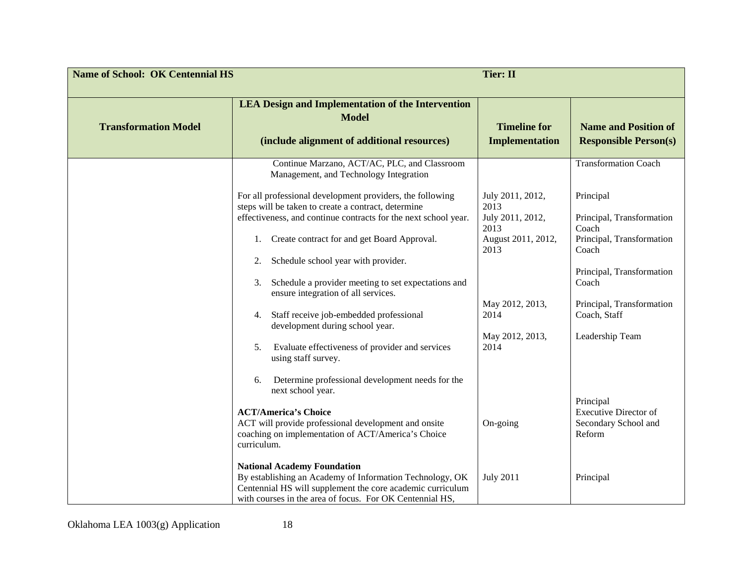| <b>Name of School: OK Centennial HS</b> |                                                                                                                                                                                                                          | <b>Tier: II</b>                              |                                                                             |
|-----------------------------------------|--------------------------------------------------------------------------------------------------------------------------------------------------------------------------------------------------------------------------|----------------------------------------------|-----------------------------------------------------------------------------|
| <b>Transformation Model</b>             | <b>LEA Design and Implementation of the Intervention</b><br><b>Model</b><br>(include alignment of additional resources)                                                                                                  | <b>Timeline for</b><br><b>Implementation</b> | <b>Name and Position of</b><br><b>Responsible Person(s)</b>                 |
|                                         | Continue Marzano, ACT/AC, PLC, and Classroom<br>Management, and Technology Integration                                                                                                                                   |                                              | <b>Transformation Coach</b>                                                 |
|                                         | For all professional development providers, the following<br>steps will be taken to create a contract, determine<br>effectiveness, and continue contracts for the next school year.                                      | July 2011, 2012,<br>2013<br>July 2011, 2012, | Principal<br>Principal, Transformation                                      |
|                                         | Create contract for and get Board Approval.<br>1.                                                                                                                                                                        | 2013<br>August 2011, 2012,<br>2013           | Coach<br>Principal, Transformation<br>Coach                                 |
|                                         | Schedule school year with provider.<br>2.<br>Schedule a provider meeting to set expectations and<br>3.<br>ensure integration of all services.                                                                            |                                              | Principal, Transformation<br>Coach                                          |
|                                         | Staff receive job-embedded professional<br>4.<br>development during school year.                                                                                                                                         | May 2012, 2013,<br>2014                      | Principal, Transformation<br>Coach, Staff                                   |
|                                         | Evaluate effectiveness of provider and services<br>5.<br>using staff survey.                                                                                                                                             | May 2012, 2013,<br>2014                      | Leadership Team                                                             |
|                                         | Determine professional development needs for the<br>6.<br>next school year.                                                                                                                                              |                                              |                                                                             |
|                                         | <b>ACT/America's Choice</b><br>ACT will provide professional development and onsite<br>coaching on implementation of ACT/America's Choice<br>curriculum.                                                                 | On-going                                     | Principal<br><b>Executive Director of</b><br>Secondary School and<br>Reform |
|                                         | <b>National Academy Foundation</b><br>By establishing an Academy of Information Technology, OK<br>Centennial HS will supplement the core academic curriculum<br>with courses in the area of focus. For OK Centennial HS, | <b>July 2011</b>                             | Principal                                                                   |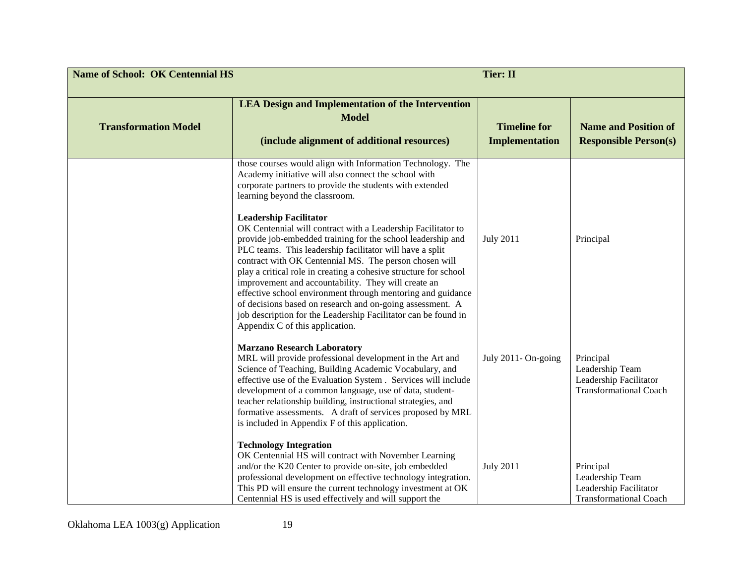| <b>Name of School: OK Centennial HS</b> |                                                                                                                                                                                                                                                                                                                                                                                                                                                                                                                                                                                                                                                                                                                                                                                                                                                                    | <b>Tier: II</b>                              |                                                                                         |
|-----------------------------------------|--------------------------------------------------------------------------------------------------------------------------------------------------------------------------------------------------------------------------------------------------------------------------------------------------------------------------------------------------------------------------------------------------------------------------------------------------------------------------------------------------------------------------------------------------------------------------------------------------------------------------------------------------------------------------------------------------------------------------------------------------------------------------------------------------------------------------------------------------------------------|----------------------------------------------|-----------------------------------------------------------------------------------------|
| <b>Transformation Model</b>             | <b>LEA Design and Implementation of the Intervention</b><br><b>Model</b><br>(include alignment of additional resources)                                                                                                                                                                                                                                                                                                                                                                                                                                                                                                                                                                                                                                                                                                                                            | <b>Timeline for</b><br><b>Implementation</b> | <b>Name and Position of</b><br><b>Responsible Person(s)</b>                             |
|                                         | those courses would align with Information Technology. The<br>Academy initiative will also connect the school with<br>corporate partners to provide the students with extended<br>learning beyond the classroom.<br><b>Leadership Facilitator</b><br>OK Centennial will contract with a Leadership Facilitator to<br>provide job-embedded training for the school leadership and<br>PLC teams. This leadership facilitator will have a split<br>contract with OK Centennial MS. The person chosen will<br>play a critical role in creating a cohesive structure for school<br>improvement and accountability. They will create an<br>effective school environment through mentoring and guidance<br>of decisions based on research and on-going assessment. A<br>job description for the Leadership Facilitator can be found in<br>Appendix C of this application. | <b>July 2011</b>                             | Principal                                                                               |
|                                         | <b>Marzano Research Laboratory</b><br>MRL will provide professional development in the Art and<br>Science of Teaching, Building Academic Vocabulary, and<br>effective use of the Evaluation System . Services will include<br>development of a common language, use of data, student-<br>teacher relationship building, instructional strategies, and<br>formative assessments. A draft of services proposed by MRL<br>is included in Appendix F of this application.                                                                                                                                                                                                                                                                                                                                                                                              | July 2011- On-going                          | Principal<br>Leadership Team<br>Leadership Facilitator<br><b>Transformational Coach</b> |
|                                         | <b>Technology Integration</b><br>OK Centennial HS will contract with November Learning<br>and/or the K20 Center to provide on-site, job embedded<br>professional development on effective technology integration.<br>This PD will ensure the current technology investment at OK<br>Centennial HS is used effectively and will support the                                                                                                                                                                                                                                                                                                                                                                                                                                                                                                                         | <b>July 2011</b>                             | Principal<br>Leadership Team<br>Leadership Facilitator<br><b>Transformational Coach</b> |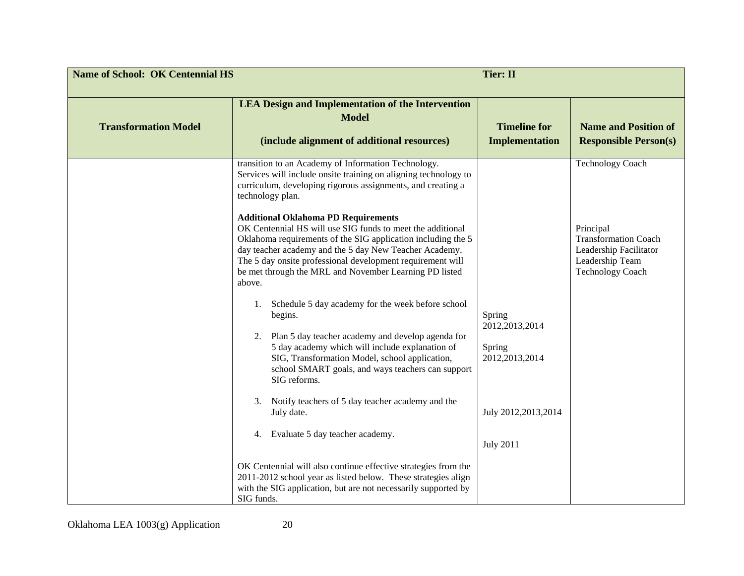| <b>Name of School: OK Centennial HS</b><br><b>Tier: II</b> |                                                                                                                                                                                                                                                                                                                                                                                                                                                                                                                                                                                                                                                                                                                                                                                                                                                                                                                                                                                                                                                                                                                                                                                                                               |                                                                                                     |                                                                                                                                             |
|------------------------------------------------------------|-------------------------------------------------------------------------------------------------------------------------------------------------------------------------------------------------------------------------------------------------------------------------------------------------------------------------------------------------------------------------------------------------------------------------------------------------------------------------------------------------------------------------------------------------------------------------------------------------------------------------------------------------------------------------------------------------------------------------------------------------------------------------------------------------------------------------------------------------------------------------------------------------------------------------------------------------------------------------------------------------------------------------------------------------------------------------------------------------------------------------------------------------------------------------------------------------------------------------------|-----------------------------------------------------------------------------------------------------|---------------------------------------------------------------------------------------------------------------------------------------------|
| <b>Transformation Model</b>                                | <b>LEA Design and Implementation of the Intervention</b><br><b>Model</b><br>(include alignment of additional resources)                                                                                                                                                                                                                                                                                                                                                                                                                                                                                                                                                                                                                                                                                                                                                                                                                                                                                                                                                                                                                                                                                                       | <b>Timeline for</b><br><b>Implementation</b>                                                        | <b>Name and Position of</b><br><b>Responsible Person(s)</b>                                                                                 |
|                                                            | transition to an Academy of Information Technology.<br>Services will include onsite training on aligning technology to<br>curriculum, developing rigorous assignments, and creating a<br>technology plan.<br><b>Additional Oklahoma PD Requirements</b><br>OK Centennial HS will use SIG funds to meet the additional<br>Oklahoma requirements of the SIG application including the 5<br>day teacher academy and the 5 day New Teacher Academy.<br>The 5 day onsite professional development requirement will<br>be met through the MRL and November Learning PD listed<br>above.<br>Schedule 5 day academy for the week before school<br>1.<br>begins.<br>Plan 5 day teacher academy and develop agenda for<br>2.<br>5 day academy which will include explanation of<br>SIG, Transformation Model, school application,<br>school SMART goals, and ways teachers can support<br>SIG reforms.<br>Notify teachers of 5 day teacher academy and the<br>3.<br>July date.<br>4. Evaluate 5 day teacher academy.<br>OK Centennial will also continue effective strategies from the<br>2011-2012 school year as listed below. These strategies align<br>with the SIG application, but are not necessarily supported by<br>SIG funds. | Spring<br>2012, 2013, 2014<br>Spring<br>2012, 2013, 2014<br>July 2012,2013,2014<br><b>July 2011</b> | <b>Technology Coach</b><br>Principal<br><b>Transformation Coach</b><br>Leadership Facilitator<br>Leadership Team<br><b>Technology Coach</b> |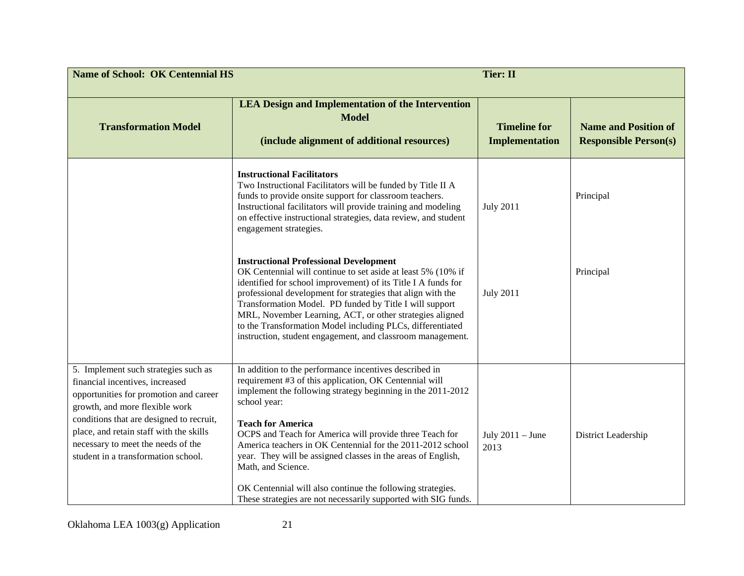| <b>Name of School: OK Centennial HS</b>                                                                                                                                                                                                                                                                                 |                                                                                                                                                                                                                                                                                                                                                                                                                                                                                                                                                                            | <b>Tier: II</b>                              |                                                             |
|-------------------------------------------------------------------------------------------------------------------------------------------------------------------------------------------------------------------------------------------------------------------------------------------------------------------------|----------------------------------------------------------------------------------------------------------------------------------------------------------------------------------------------------------------------------------------------------------------------------------------------------------------------------------------------------------------------------------------------------------------------------------------------------------------------------------------------------------------------------------------------------------------------------|----------------------------------------------|-------------------------------------------------------------|
| <b>Transformation Model</b>                                                                                                                                                                                                                                                                                             | <b>LEA Design and Implementation of the Intervention</b><br><b>Model</b><br>(include alignment of additional resources)                                                                                                                                                                                                                                                                                                                                                                                                                                                    | <b>Timeline for</b><br><b>Implementation</b> | <b>Name and Position of</b><br><b>Responsible Person(s)</b> |
|                                                                                                                                                                                                                                                                                                                         | <b>Instructional Facilitators</b><br>Two Instructional Facilitators will be funded by Title II A<br>funds to provide onsite support for classroom teachers.<br>Instructional facilitators will provide training and modeling<br>on effective instructional strategies, data review, and student<br>engagement strategies.                                                                                                                                                                                                                                                  | <b>July 2011</b>                             | Principal                                                   |
|                                                                                                                                                                                                                                                                                                                         | <b>Instructional Professional Development</b><br>OK Centennial will continue to set aside at least 5% (10% if<br>identified for school improvement) of its Title I A funds for<br>professional development for strategies that align with the<br>Transformation Model. PD funded by Title I will support<br>MRL, November Learning, ACT, or other strategies aligned<br>to the Transformation Model including PLCs, differentiated<br>instruction, student engagement, and classroom management.                                                                           | <b>July 2011</b>                             | Principal                                                   |
| 5. Implement such strategies such as<br>financial incentives, increased<br>opportunities for promotion and career<br>growth, and more flexible work<br>conditions that are designed to recruit,<br>place, and retain staff with the skills<br>necessary to meet the needs of the<br>student in a transformation school. | In addition to the performance incentives described in<br>requirement #3 of this application, OK Centennial will<br>implement the following strategy beginning in the 2011-2012<br>school year:<br><b>Teach for America</b><br>OCPS and Teach for America will provide three Teach for<br>America teachers in OK Centennial for the 2011-2012 school<br>year. They will be assigned classes in the areas of English,<br>Math, and Science.<br>OK Centennial will also continue the following strategies.<br>These strategies are not necessarily supported with SIG funds. | July $2011 -$ June<br>2013                   | District Leadership                                         |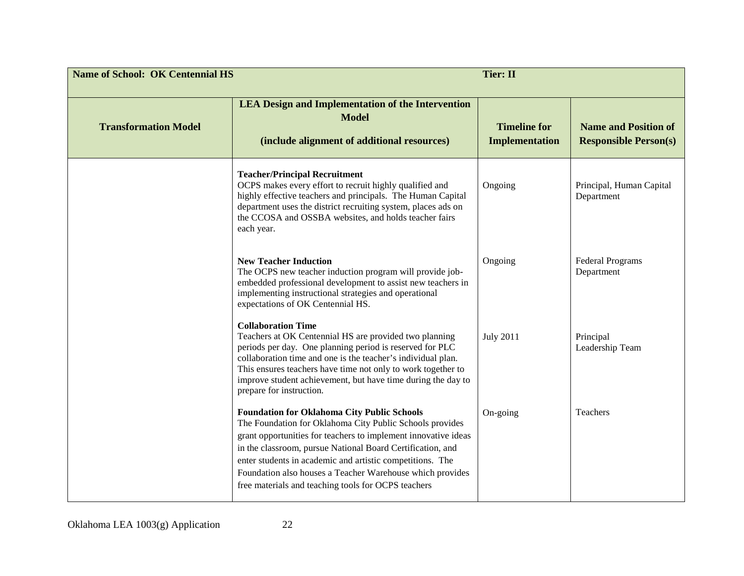| <b>Name of School: OK Centennial HS</b> |                                                                                                                                                                                                                                                                                                                                                                                                                                 | <b>Tier: II</b>                              |                                                             |
|-----------------------------------------|---------------------------------------------------------------------------------------------------------------------------------------------------------------------------------------------------------------------------------------------------------------------------------------------------------------------------------------------------------------------------------------------------------------------------------|----------------------------------------------|-------------------------------------------------------------|
| <b>Transformation Model</b>             | <b>LEA Design and Implementation of the Intervention</b><br><b>Model</b><br>(include alignment of additional resources)                                                                                                                                                                                                                                                                                                         | <b>Timeline for</b><br><b>Implementation</b> | <b>Name and Position of</b><br><b>Responsible Person(s)</b> |
|                                         | <b>Teacher/Principal Recruitment</b><br>OCPS makes every effort to recruit highly qualified and<br>highly effective teachers and principals. The Human Capital<br>department uses the district recruiting system, places ads on<br>the CCOSA and OSSBA websites, and holds teacher fairs<br>each year.                                                                                                                          | Ongoing                                      | Principal, Human Capital<br>Department                      |
|                                         | <b>New Teacher Induction</b><br>The OCPS new teacher induction program will provide job-<br>embedded professional development to assist new teachers in<br>implementing instructional strategies and operational<br>expectations of OK Centennial HS.                                                                                                                                                                           | Ongoing                                      | <b>Federal Programs</b><br>Department                       |
|                                         | <b>Collaboration Time</b><br>Teachers at OK Centennial HS are provided two planning<br>periods per day. One planning period is reserved for PLC<br>collaboration time and one is the teacher's individual plan.<br>This ensures teachers have time not only to work together to<br>improve student achievement, but have time during the day to<br>prepare for instruction.                                                     | <b>July 2011</b>                             | Principal<br>Leadership Team                                |
|                                         | <b>Foundation for Oklahoma City Public Schools</b><br>The Foundation for Oklahoma City Public Schools provides<br>grant opportunities for teachers to implement innovative ideas<br>in the classroom, pursue National Board Certification, and<br>enter students in academic and artistic competitions. The<br>Foundation also houses a Teacher Warehouse which provides<br>free materials and teaching tools for OCPS teachers | On-going                                     | Teachers                                                    |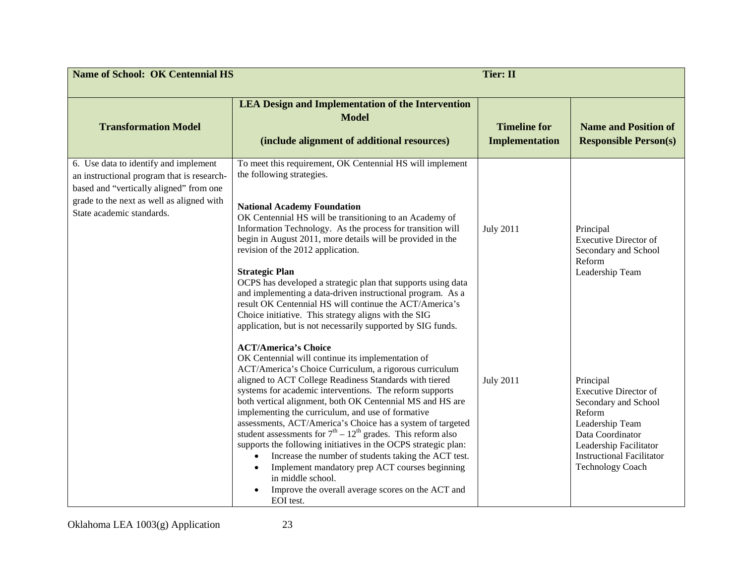| <b>Name of School: OK Centennial HS</b>                                                                                                                                                                  |                                                                                                                                                                                                                                                                                                                                                                                                                                                                                                                                                                                                                                                                                                                                                                                                  | <b>Tier: II</b>                              |                                                                                                                                                                                                             |
|----------------------------------------------------------------------------------------------------------------------------------------------------------------------------------------------------------|--------------------------------------------------------------------------------------------------------------------------------------------------------------------------------------------------------------------------------------------------------------------------------------------------------------------------------------------------------------------------------------------------------------------------------------------------------------------------------------------------------------------------------------------------------------------------------------------------------------------------------------------------------------------------------------------------------------------------------------------------------------------------------------------------|----------------------------------------------|-------------------------------------------------------------------------------------------------------------------------------------------------------------------------------------------------------------|
| <b>Transformation Model</b>                                                                                                                                                                              | <b>LEA Design and Implementation of the Intervention</b><br><b>Model</b><br>(include alignment of additional resources)                                                                                                                                                                                                                                                                                                                                                                                                                                                                                                                                                                                                                                                                          | <b>Timeline for</b><br><b>Implementation</b> | <b>Name and Position of</b><br><b>Responsible Person(s)</b>                                                                                                                                                 |
| 6. Use data to identify and implement<br>an instructional program that is research-<br>based and "vertically aligned" from one<br>grade to the next as well as aligned with<br>State academic standards. | To meet this requirement, OK Centennial HS will implement<br>the following strategies.<br><b>National Academy Foundation</b><br>OK Centennial HS will be transitioning to an Academy of<br>Information Technology. As the process for transition will<br>begin in August 2011, more details will be provided in the<br>revision of the 2012 application.<br><b>Strategic Plan</b><br>OCPS has developed a strategic plan that supports using data<br>and implementing a data-driven instructional program. As a<br>result OK Centennial HS will continue the ACT/America's<br>Choice initiative. This strategy aligns with the SIG<br>application, but is not necessarily supported by SIG funds.                                                                                                | <b>July 2011</b>                             | Principal<br><b>Executive Director of</b><br>Secondary and School<br>Reform<br>Leadership Team                                                                                                              |
|                                                                                                                                                                                                          | <b>ACT/America's Choice</b><br>OK Centennial will continue its implementation of<br>ACT/America's Choice Curriculum, a rigorous curriculum<br>aligned to ACT College Readiness Standards with tiered<br>systems for academic interventions. The reform supports<br>both vertical alignment, both OK Centennial MS and HS are<br>implementing the curriculum, and use of formative<br>assessments, ACT/America's Choice has a system of targeted<br>student assessments for $7th - 12th$ grades. This reform also<br>supports the following initiatives in the OCPS strategic plan:<br>Increase the number of students taking the ACT test.<br>$\bullet$<br>Implement mandatory prep ACT courses beginning<br>in middle school.<br>Improve the overall average scores on the ACT and<br>EOI test. | <b>July 2011</b>                             | Principal<br><b>Executive Director of</b><br>Secondary and School<br>Reform<br>Leadership Team<br>Data Coordinator<br>Leadership Facilitator<br><b>Instructional Facilitator</b><br><b>Technology Coach</b> |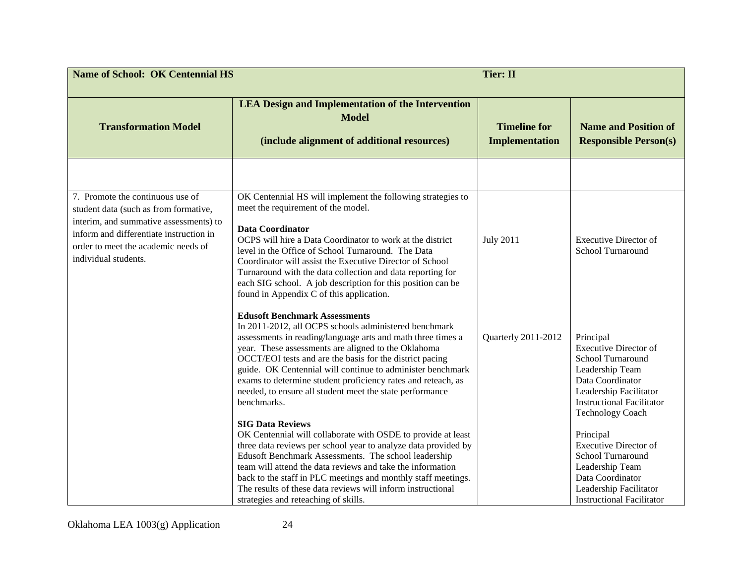| <b>Name of School: OK Centennial HS</b><br><b>Tier: II</b>                                                                                                                                                                    |                                                                                                                                                                                                                                                                                                                                                                                                                                                                                                                     |                                              |                                                                                                                                                                                                |
|-------------------------------------------------------------------------------------------------------------------------------------------------------------------------------------------------------------------------------|---------------------------------------------------------------------------------------------------------------------------------------------------------------------------------------------------------------------------------------------------------------------------------------------------------------------------------------------------------------------------------------------------------------------------------------------------------------------------------------------------------------------|----------------------------------------------|------------------------------------------------------------------------------------------------------------------------------------------------------------------------------------------------|
| <b>Transformation Model</b>                                                                                                                                                                                                   | <b>LEA Design and Implementation of the Intervention</b><br><b>Model</b><br>(include alignment of additional resources)                                                                                                                                                                                                                                                                                                                                                                                             | <b>Timeline for</b><br><b>Implementation</b> | <b>Name and Position of</b><br><b>Responsible Person(s)</b>                                                                                                                                    |
| 7. Promote the continuous use of<br>student data (such as from formative,<br>interim, and summative assessments) to<br>inform and differentiate instruction in<br>order to meet the academic needs of<br>individual students. | OK Centennial HS will implement the following strategies to<br>meet the requirement of the model.<br><b>Data Coordinator</b><br>OCPS will hire a Data Coordinator to work at the district<br>level in the Office of School Turnaround. The Data<br>Coordinator will assist the Executive Director of School<br>Turnaround with the data collection and data reporting for<br>each SIG school. A job description for this position can be<br>found in Appendix C of this application.                                | <b>July 2011</b>                             | <b>Executive Director of</b><br>School Turnaround                                                                                                                                              |
|                                                                                                                                                                                                                               | <b>Edusoft Benchmark Assessments</b><br>In 2011-2012, all OCPS schools administered benchmark<br>assessments in reading/language arts and math three times a<br>year. These assessments are aligned to the Oklahoma<br>OCCT/EOI tests and are the basis for the district pacing<br>guide. OK Centennial will continue to administer benchmark<br>exams to determine student proficiency rates and reteach, as<br>needed, to ensure all student meet the state performance<br>benchmarks.<br><b>SIG Data Reviews</b> | Quarterly 2011-2012                          | Principal<br><b>Executive Director of</b><br>School Turnaround<br>Leadership Team<br>Data Coordinator<br>Leadership Facilitator<br><b>Instructional Facilitator</b><br><b>Technology Coach</b> |
|                                                                                                                                                                                                                               | OK Centennial will collaborate with OSDE to provide at least<br>three data reviews per school year to analyze data provided by<br>Edusoft Benchmark Assessments. The school leadership<br>team will attend the data reviews and take the information<br>back to the staff in PLC meetings and monthly staff meetings.<br>The results of these data reviews will inform instructional<br>strategies and reteaching of skills.                                                                                        |                                              | Principal<br><b>Executive Director of</b><br>School Turnaround<br>Leadership Team<br>Data Coordinator<br>Leadership Facilitator<br><b>Instructional Facilitator</b>                            |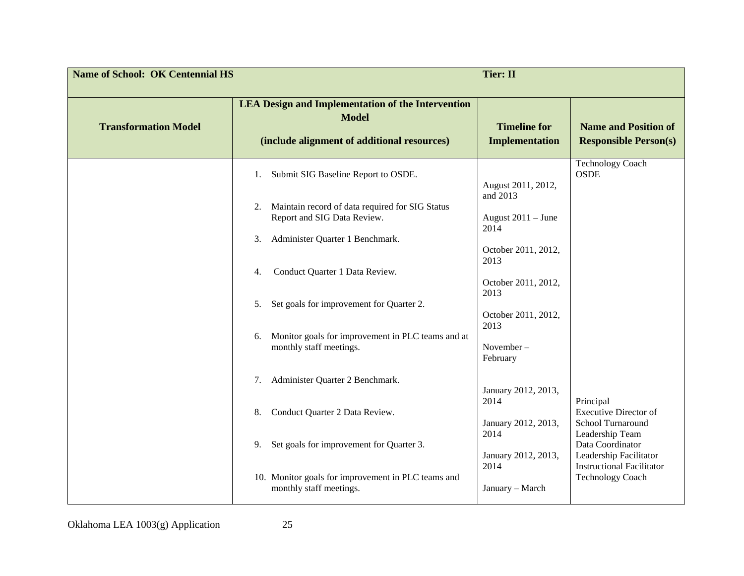| <b>Name of School: OK Centennial HS</b> |                                                                                                                         | <b>Tier: II</b>                              |                                                                                |
|-----------------------------------------|-------------------------------------------------------------------------------------------------------------------------|----------------------------------------------|--------------------------------------------------------------------------------|
| <b>Transformation Model</b>             | <b>LEA Design and Implementation of the Intervention</b><br><b>Model</b><br>(include alignment of additional resources) | <b>Timeline for</b><br><b>Implementation</b> | <b>Name and Position of</b><br><b>Responsible Person(s)</b>                    |
|                                         | Submit SIG Baseline Report to OSDE.<br>1.                                                                               | August 2011, 2012,<br>and 2013               | <b>Technology Coach</b><br><b>OSDE</b>                                         |
|                                         | Maintain record of data required for SIG Status<br>2.<br>Report and SIG Data Review.                                    | August 2011 - June<br>2014                   |                                                                                |
|                                         | Administer Quarter 1 Benchmark.<br>3.                                                                                   | October 2011, 2012,<br>2013                  |                                                                                |
|                                         | Conduct Quarter 1 Data Review.<br>4.<br>Set goals for improvement for Quarter 2.<br>5.                                  | October 2011, 2012,<br>2013                  |                                                                                |
|                                         | Monitor goals for improvement in PLC teams and at<br>6.                                                                 | October 2011, 2012,<br>2013                  |                                                                                |
|                                         | monthly staff meetings.                                                                                                 | November-<br>February                        |                                                                                |
|                                         | Administer Quarter 2 Benchmark.<br>7.                                                                                   | January 2012, 2013,<br>2014                  | Principal                                                                      |
|                                         | Conduct Quarter 2 Data Review.<br>8.                                                                                    | January 2012, 2013,<br>2014                  | <b>Executive Director of</b><br>School Turnaround<br>Leadership Team           |
|                                         | Set goals for improvement for Quarter 3.<br>9.                                                                          | January 2012, 2013,<br>2014                  | Data Coordinator<br>Leadership Facilitator<br><b>Instructional Facilitator</b> |
|                                         | 10. Monitor goals for improvement in PLC teams and<br>monthly staff meetings.                                           | January - March                              | <b>Technology Coach</b>                                                        |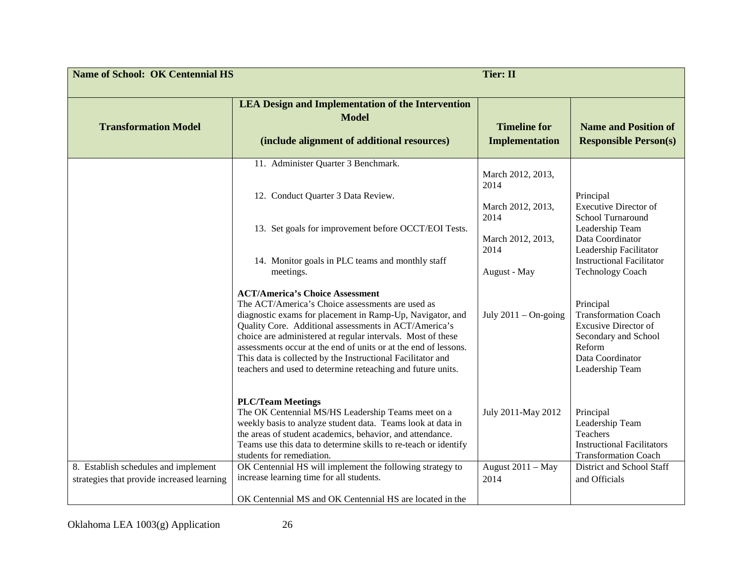| <b>Name of School: OK Centennial HS</b>    |                                                                                                                                                                                                                                                                                                                                                                                                                | <b>Tier: II</b>                                                                                     |                                                                                                                                                                                                             |
|--------------------------------------------|----------------------------------------------------------------------------------------------------------------------------------------------------------------------------------------------------------------------------------------------------------------------------------------------------------------------------------------------------------------------------------------------------------------|-----------------------------------------------------------------------------------------------------|-------------------------------------------------------------------------------------------------------------------------------------------------------------------------------------------------------------|
| <b>Transformation Model</b>                | <b>LEA Design and Implementation of the Intervention</b><br><b>Model</b><br>(include alignment of additional resources)                                                                                                                                                                                                                                                                                        | <b>Timeline for</b><br><b>Implementation</b>                                                        | <b>Name and Position of</b><br><b>Responsible Person(s)</b>                                                                                                                                                 |
|                                            | 11. Administer Quarter 3 Benchmark.<br>12. Conduct Quarter 3 Data Review.<br>13. Set goals for improvement before OCCT/EOI Tests.<br>14. Monitor goals in PLC teams and monthly staff<br>meetings.<br><b>ACT/America's Choice Assessment</b><br>The ACT/America's Choice assessments are used as                                                                                                               | March 2012, 2013,<br>2014<br>March 2012, 2013,<br>2014<br>March 2012, 2013,<br>2014<br>August - May | Principal<br><b>Executive Director of</b><br>School Turnaround<br>Leadership Team<br>Data Coordinator<br>Leadership Facilitator<br><b>Instructional Facilitator</b><br><b>Technology Coach</b><br>Principal |
|                                            | diagnostic exams for placement in Ramp-Up, Navigator, and<br>Quality Core. Additional assessments in ACT/America's<br>choice are administered at regular intervals. Most of these<br>assessments occur at the end of units or at the end of lessons.<br>This data is collected by the Instructional Facilitator and<br>teachers and used to determine reteaching and future units.<br><b>PLC/Team Meetings</b> | July $2011 - On$ -going                                                                             | <b>Transformation Coach</b><br><b>Excusive Director of</b><br>Secondary and School<br>Reform<br>Data Coordinator<br>Leadership Team                                                                         |
| 8. Establish schedules and implement       | The OK Centennial MS/HS Leadership Teams meet on a<br>weekly basis to analyze student data. Teams look at data in<br>the areas of student academics, behavior, and attendance.<br>Teams use this data to determine skills to re-teach or identify<br>students for remediation.<br>OK Centennial HS will implement the following strategy to                                                                    | July 2011-May 2012<br>August 2011 - May                                                             | Principal<br>Leadership Team<br>Teachers<br><b>Instructional Facilitators</b><br><b>Transformation Coach</b><br>District and School Staff                                                                   |
| strategies that provide increased learning | increase learning time for all students.<br>OK Centennial MS and OK Centennial HS are located in the                                                                                                                                                                                                                                                                                                           | 2014                                                                                                | and Officials                                                                                                                                                                                               |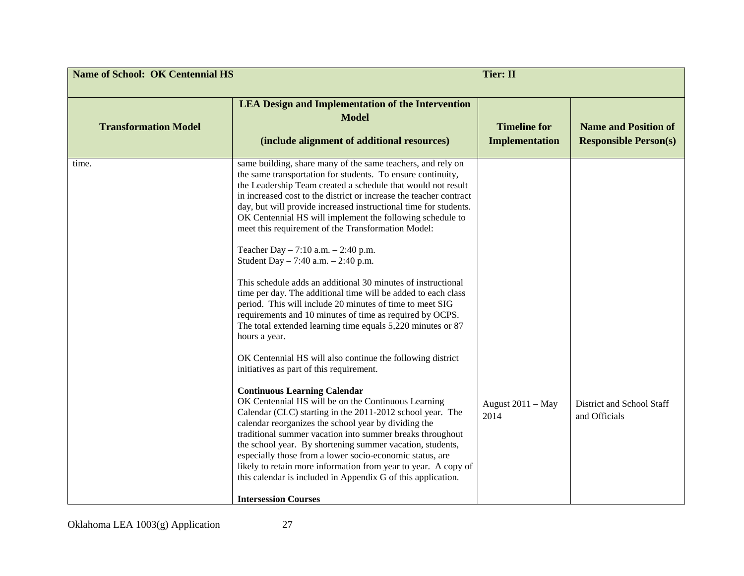| <b>Name of School: OK Centennial HS</b> |                                                                                                                                                                                                                                                                                                                                                                                                                                                                                                                                                                                                                                                                                                                                                                                                                                                                                                                                                                                                                                                                                                                                                                                                                                                                                                                                                                                                                                                                                                                                                                        | <b>Tier: II</b>                              |                                                             |
|-----------------------------------------|------------------------------------------------------------------------------------------------------------------------------------------------------------------------------------------------------------------------------------------------------------------------------------------------------------------------------------------------------------------------------------------------------------------------------------------------------------------------------------------------------------------------------------------------------------------------------------------------------------------------------------------------------------------------------------------------------------------------------------------------------------------------------------------------------------------------------------------------------------------------------------------------------------------------------------------------------------------------------------------------------------------------------------------------------------------------------------------------------------------------------------------------------------------------------------------------------------------------------------------------------------------------------------------------------------------------------------------------------------------------------------------------------------------------------------------------------------------------------------------------------------------------------------------------------------------------|----------------------------------------------|-------------------------------------------------------------|
| <b>Transformation Model</b>             | <b>LEA Design and Implementation of the Intervention</b><br><b>Model</b><br>(include alignment of additional resources)                                                                                                                                                                                                                                                                                                                                                                                                                                                                                                                                                                                                                                                                                                                                                                                                                                                                                                                                                                                                                                                                                                                                                                                                                                                                                                                                                                                                                                                | <b>Timeline for</b><br><b>Implementation</b> | <b>Name and Position of</b><br><b>Responsible Person(s)</b> |
| time.                                   | same building, share many of the same teachers, and rely on<br>the same transportation for students. To ensure continuity,<br>the Leadership Team created a schedule that would not result<br>in increased cost to the district or increase the teacher contract<br>day, but will provide increased instructional time for students.<br>OK Centennial HS will implement the following schedule to<br>meet this requirement of the Transformation Model:<br>Teacher Day $-7:10$ a.m. $-2:40$ p.m.<br>Student Day $-7:40$ a.m. $-2:40$ p.m.<br>This schedule adds an additional 30 minutes of instructional<br>time per day. The additional time will be added to each class<br>period. This will include 20 minutes of time to meet SIG<br>requirements and 10 minutes of time as required by OCPS.<br>The total extended learning time equals 5,220 minutes or 87<br>hours a year.<br>OK Centennial HS will also continue the following district<br>initiatives as part of this requirement.<br><b>Continuous Learning Calendar</b><br>OK Centennial HS will be on the Continuous Learning<br>Calendar (CLC) starting in the 2011-2012 school year. The<br>calendar reorganizes the school year by dividing the<br>traditional summer vacation into summer breaks throughout<br>the school year. By shortening summer vacation, students,<br>especially those from a lower socio-economic status, are<br>likely to retain more information from year to year. A copy of<br>this calendar is included in Appendix G of this application.<br><b>Intersession Courses</b> | August 2011 - May<br>2014                    | District and School Staff<br>and Officials                  |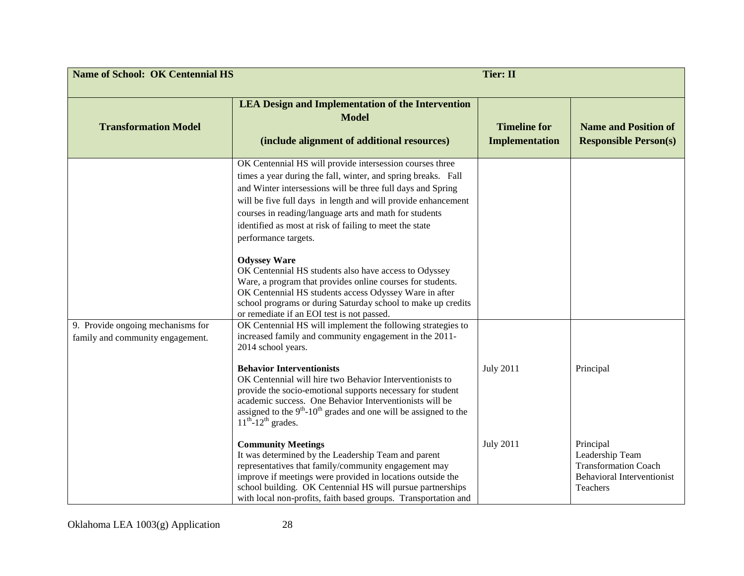| <b>Name of School: OK Centennial HS</b> | <b>Tier: II</b>                                                                                                                                                                                                                                                                                                                                                                                                                                                                                                                                                                                                                                                                                                                                                                                                                                       |                                              |                                                                              |
|-----------------------------------------|-------------------------------------------------------------------------------------------------------------------------------------------------------------------------------------------------------------------------------------------------------------------------------------------------------------------------------------------------------------------------------------------------------------------------------------------------------------------------------------------------------------------------------------------------------------------------------------------------------------------------------------------------------------------------------------------------------------------------------------------------------------------------------------------------------------------------------------------------------|----------------------------------------------|------------------------------------------------------------------------------|
| <b>Transformation Model</b>             | <b>LEA Design and Implementation of the Intervention</b><br><b>Model</b><br>(include alignment of additional resources)                                                                                                                                                                                                                                                                                                                                                                                                                                                                                                                                                                                                                                                                                                                               | <b>Timeline for</b><br><b>Implementation</b> | <b>Name and Position of</b><br><b>Responsible Person(s)</b>                  |
| 9. Provide ongoing mechanisms for       | OK Centennial HS will provide intersession courses three<br>times a year during the fall, winter, and spring breaks. Fall<br>and Winter intersessions will be three full days and Spring<br>will be five full days in length and will provide enhancement<br>courses in reading/language arts and math for students<br>identified as most at risk of failing to meet the state<br>performance targets.<br><b>Odyssey Ware</b><br>OK Centennial HS students also have access to Odyssey<br>Ware, a program that provides online courses for students.<br>OK Centennial HS students access Odyssey Ware in after<br>school programs or during Saturday school to make up credits<br>or remediate if an EOI test is not passed.<br>OK Centennial HS will implement the following strategies to<br>increased family and community engagement in the 2011- |                                              |                                                                              |
| family and community engagement.        | 2014 school years.<br><b>Behavior Interventionists</b><br>OK Centennial will hire two Behavior Interventionists to<br>provide the socio-emotional supports necessary for student<br>academic success. One Behavior Interventionists will be<br>assigned to the $9th$ -10 <sup>th</sup> grades and one will be assigned to the<br>$11^{th}$ -12 <sup>th</sup> grades.<br><b>Community Meetings</b><br>It was determined by the Leadership Team and parent                                                                                                                                                                                                                                                                                                                                                                                              | <b>July 2011</b><br><b>July 2011</b>         | Principal<br>Principal<br>Leadership Team                                    |
|                                         | representatives that family/community engagement may<br>improve if meetings were provided in locations outside the<br>school building. OK Centennial HS will pursue partnerships<br>with local non-profits, faith based groups. Transportation and                                                                                                                                                                                                                                                                                                                                                                                                                                                                                                                                                                                                    |                                              | <b>Transformation Coach</b><br><b>Behavioral Interventionist</b><br>Teachers |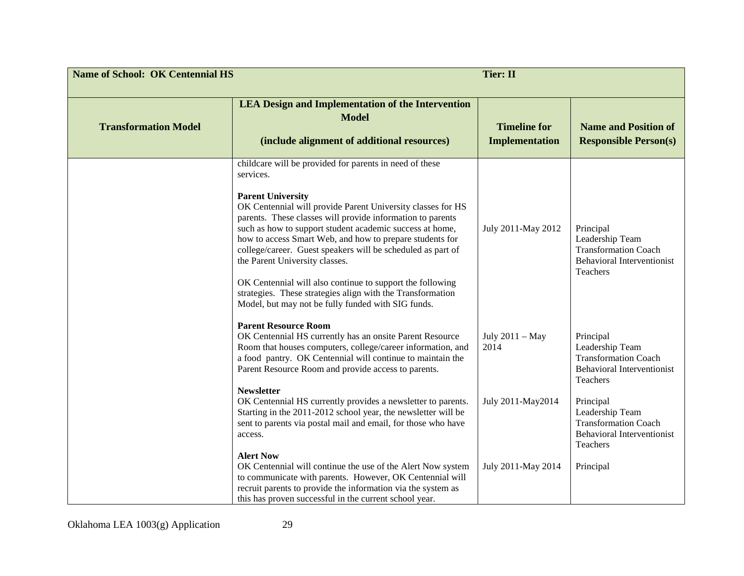| <b>Name of School: OK Centennial HS</b> |                                                                                                                                                                                                                                                                                                                                                                                                                                                                                                                                                                                                                                         | <b>Tier: II</b>                              |                                                                                                              |
|-----------------------------------------|-----------------------------------------------------------------------------------------------------------------------------------------------------------------------------------------------------------------------------------------------------------------------------------------------------------------------------------------------------------------------------------------------------------------------------------------------------------------------------------------------------------------------------------------------------------------------------------------------------------------------------------------|----------------------------------------------|--------------------------------------------------------------------------------------------------------------|
| <b>Transformation Model</b>             | <b>LEA Design and Implementation of the Intervention</b><br><b>Model</b><br>(include alignment of additional resources)                                                                                                                                                                                                                                                                                                                                                                                                                                                                                                                 | <b>Timeline for</b><br><b>Implementation</b> | <b>Name and Position of</b><br><b>Responsible Person(s)</b>                                                  |
|                                         | childcare will be provided for parents in need of these<br>services.<br><b>Parent University</b><br>OK Centennial will provide Parent University classes for HS<br>parents. These classes will provide information to parents<br>such as how to support student academic success at home,<br>how to access Smart Web, and how to prepare students for<br>college/career. Guest speakers will be scheduled as part of<br>the Parent University classes.<br>OK Centennial will also continue to support the following<br>strategies. These strategies align with the Transformation<br>Model, but may not be fully funded with SIG funds. | July 2011-May 2012                           | Principal<br>Leadership Team<br><b>Transformation Coach</b><br><b>Behavioral Interventionist</b><br>Teachers |
|                                         | <b>Parent Resource Room</b><br>OK Centennial HS currently has an onsite Parent Resource<br>Room that houses computers, college/career information, and<br>a food pantry. OK Centennial will continue to maintain the<br>Parent Resource Room and provide access to parents.                                                                                                                                                                                                                                                                                                                                                             | July 2011 - May<br>2014                      | Principal<br>Leadership Team<br><b>Transformation Coach</b><br><b>Behavioral Interventionist</b><br>Teachers |
|                                         | <b>Newsletter</b><br>OK Centennial HS currently provides a newsletter to parents.<br>Starting in the 2011-2012 school year, the newsletter will be<br>sent to parents via postal mail and email, for those who have<br>access.<br><b>Alert Now</b>                                                                                                                                                                                                                                                                                                                                                                                      | July 2011-May2014                            | Principal<br>Leadership Team<br><b>Transformation Coach</b><br><b>Behavioral Interventionist</b><br>Teachers |
|                                         | OK Centennial will continue the use of the Alert Now system<br>to communicate with parents. However, OK Centennial will<br>recruit parents to provide the information via the system as<br>this has proven successful in the current school year.                                                                                                                                                                                                                                                                                                                                                                                       | July 2011-May 2014                           | Principal                                                                                                    |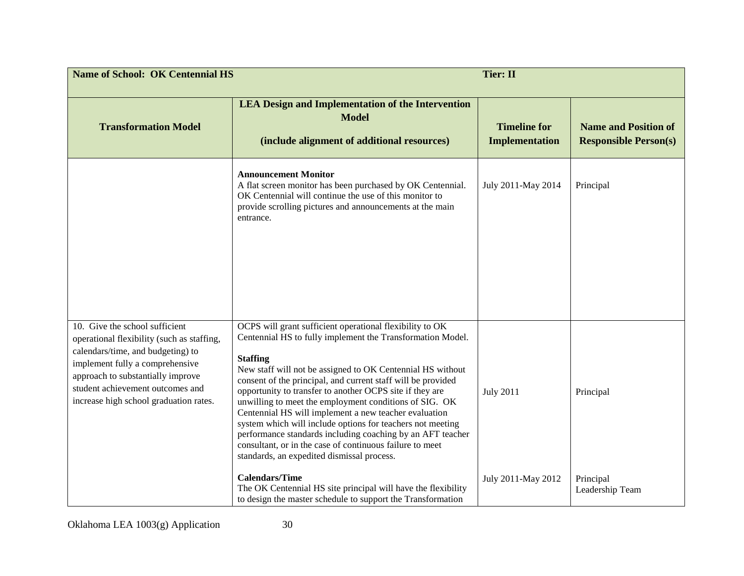| <b>Name of School: OK Centennial HS</b>                                                                                                                                                                                                                                 |                                                                                                                                                                                                                                                                                                                                                                                                                                                                                                                                                                                                                                                                                              | <b>Tier: II</b>                              |                                                             |
|-------------------------------------------------------------------------------------------------------------------------------------------------------------------------------------------------------------------------------------------------------------------------|----------------------------------------------------------------------------------------------------------------------------------------------------------------------------------------------------------------------------------------------------------------------------------------------------------------------------------------------------------------------------------------------------------------------------------------------------------------------------------------------------------------------------------------------------------------------------------------------------------------------------------------------------------------------------------------------|----------------------------------------------|-------------------------------------------------------------|
| <b>Transformation Model</b>                                                                                                                                                                                                                                             | <b>LEA Design and Implementation of the Intervention</b><br><b>Model</b><br>(include alignment of additional resources)                                                                                                                                                                                                                                                                                                                                                                                                                                                                                                                                                                      | <b>Timeline for</b><br><b>Implementation</b> | <b>Name and Position of</b><br><b>Responsible Person(s)</b> |
|                                                                                                                                                                                                                                                                         | <b>Announcement Monitor</b><br>A flat screen monitor has been purchased by OK Centennial.<br>OK Centennial will continue the use of this monitor to<br>provide scrolling pictures and announcements at the main<br>entrance.                                                                                                                                                                                                                                                                                                                                                                                                                                                                 | July 2011-May 2014                           | Principal                                                   |
| 10. Give the school sufficient<br>operational flexibility (such as staffing,<br>calendars/time, and budgeting) to<br>implement fully a comprehensive<br>approach to substantially improve<br>student achievement outcomes and<br>increase high school graduation rates. | OCPS will grant sufficient operational flexibility to OK<br>Centennial HS to fully implement the Transformation Model.<br><b>Staffing</b><br>New staff will not be assigned to OK Centennial HS without<br>consent of the principal, and current staff will be provided<br>opportunity to transfer to another OCPS site if they are<br>unwilling to meet the employment conditions of SIG. OK<br>Centennial HS will implement a new teacher evaluation<br>system which will include options for teachers not meeting<br>performance standards including coaching by an AFT teacher<br>consultant, or in the case of continuous failure to meet<br>standards, an expedited dismissal process. | <b>July 2011</b>                             | Principal                                                   |
|                                                                                                                                                                                                                                                                         | <b>Calendars/Time</b><br>The OK Centennial HS site principal will have the flexibility<br>to design the master schedule to support the Transformation                                                                                                                                                                                                                                                                                                                                                                                                                                                                                                                                        | July 2011-May 2012                           | Principal<br>Leadership Team                                |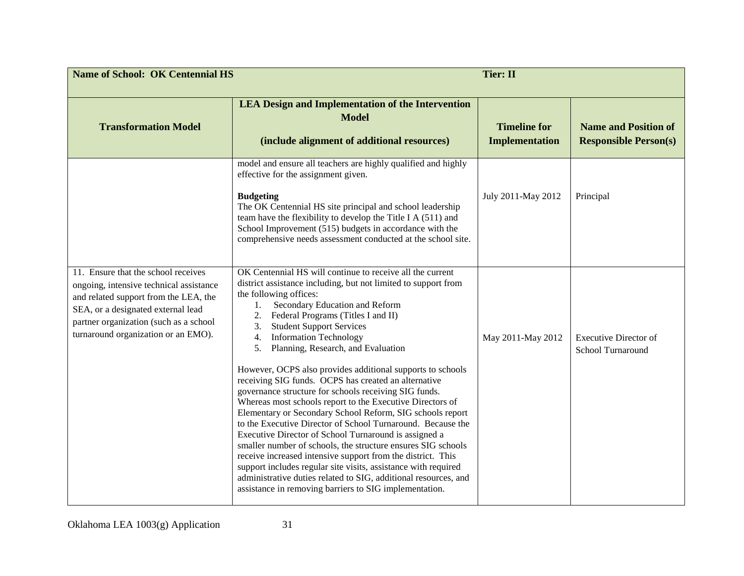| <b>Name of School: OK Centennial HS</b>                                                                                                                                                                                                        |                                                                                                                                                                                                                                                                                                                                                                                                                                                                                                                                                                                                                                                                                                                                                                                                                                                                                                                                                                                                                                                                                                                                      | <b>Tier: II</b>                              |                                                             |
|------------------------------------------------------------------------------------------------------------------------------------------------------------------------------------------------------------------------------------------------|--------------------------------------------------------------------------------------------------------------------------------------------------------------------------------------------------------------------------------------------------------------------------------------------------------------------------------------------------------------------------------------------------------------------------------------------------------------------------------------------------------------------------------------------------------------------------------------------------------------------------------------------------------------------------------------------------------------------------------------------------------------------------------------------------------------------------------------------------------------------------------------------------------------------------------------------------------------------------------------------------------------------------------------------------------------------------------------------------------------------------------------|----------------------------------------------|-------------------------------------------------------------|
| <b>Transformation Model</b>                                                                                                                                                                                                                    | <b>LEA Design and Implementation of the Intervention</b><br><b>Model</b><br>(include alignment of additional resources)                                                                                                                                                                                                                                                                                                                                                                                                                                                                                                                                                                                                                                                                                                                                                                                                                                                                                                                                                                                                              | <b>Timeline for</b><br><b>Implementation</b> | <b>Name and Position of</b><br><b>Responsible Person(s)</b> |
|                                                                                                                                                                                                                                                | model and ensure all teachers are highly qualified and highly<br>effective for the assignment given.<br><b>Budgeting</b><br>The OK Centennial HS site principal and school leadership<br>team have the flexibility to develop the Title I A (511) and<br>School Improvement (515) budgets in accordance with the<br>comprehensive needs assessment conducted at the school site.                                                                                                                                                                                                                                                                                                                                                                                                                                                                                                                                                                                                                                                                                                                                                     | July 2011-May 2012                           | Principal                                                   |
| 11. Ensure that the school receives<br>ongoing, intensive technical assistance<br>and related support from the LEA, the<br>SEA, or a designated external lead<br>partner organization (such as a school<br>turnaround organization or an EMO). | OK Centennial HS will continue to receive all the current<br>district assistance including, but not limited to support from<br>the following offices:<br>Secondary Education and Reform<br>1.<br>Federal Programs (Titles I and II)<br>2.<br><b>Student Support Services</b><br>3.<br><b>Information Technology</b><br>4.<br>Planning, Research, and Evaluation<br>5.<br>However, OCPS also provides additional supports to schools<br>receiving SIG funds. OCPS has created an alternative<br>governance structure for schools receiving SIG funds.<br>Whereas most schools report to the Executive Directors of<br>Elementary or Secondary School Reform, SIG schools report<br>to the Executive Director of School Turnaround. Because the<br>Executive Director of School Turnaround is assigned a<br>smaller number of schools, the structure ensures SIG schools<br>receive increased intensive support from the district. This<br>support includes regular site visits, assistance with required<br>administrative duties related to SIG, additional resources, and<br>assistance in removing barriers to SIG implementation. | May 2011-May 2012                            | <b>Executive Director of</b><br>School Turnaround           |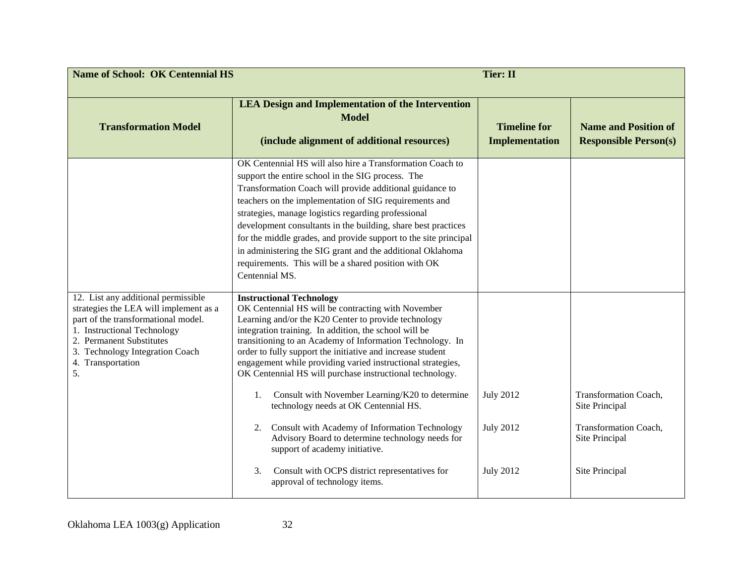| <b>Name of School: OK Centennial HS</b>                                                                                                                                                                                                       | <b>Tier: II</b>                                                                                                                                                                                                                                                                                                                                                                                                                                                                                                                                                          |                                              |                                                             |
|-----------------------------------------------------------------------------------------------------------------------------------------------------------------------------------------------------------------------------------------------|--------------------------------------------------------------------------------------------------------------------------------------------------------------------------------------------------------------------------------------------------------------------------------------------------------------------------------------------------------------------------------------------------------------------------------------------------------------------------------------------------------------------------------------------------------------------------|----------------------------------------------|-------------------------------------------------------------|
| <b>Transformation Model</b>                                                                                                                                                                                                                   | <b>LEA Design and Implementation of the Intervention</b><br><b>Model</b><br>(include alignment of additional resources)                                                                                                                                                                                                                                                                                                                                                                                                                                                  | <b>Timeline for</b><br><b>Implementation</b> | <b>Name and Position of</b><br><b>Responsible Person(s)</b> |
|                                                                                                                                                                                                                                               | OK Centennial HS will also hire a Transformation Coach to<br>support the entire school in the SIG process. The<br>Transformation Coach will provide additional guidance to<br>teachers on the implementation of SIG requirements and<br>strategies, manage logistics regarding professional<br>development consultants in the building, share best practices<br>for the middle grades, and provide support to the site principal<br>in administering the SIG grant and the additional Oklahoma<br>requirements. This will be a shared position with OK<br>Centennial MS. |                                              |                                                             |
| 12. List any additional permissible<br>strategies the LEA will implement as a<br>part of the transformational model.<br>1. Instructional Technology<br>2. Permanent Substitutes<br>3. Technology Integration Coach<br>4. Transportation<br>5. | <b>Instructional Technology</b><br>OK Centennial HS will be contracting with November<br>Learning and/or the K20 Center to provide technology<br>integration training. In addition, the school will be<br>transitioning to an Academy of Information Technology. In<br>order to fully support the initiative and increase student<br>engagement while providing varied instructional strategies,<br>OK Centennial HS will purchase instructional technology.                                                                                                             |                                              |                                                             |
|                                                                                                                                                                                                                                               | Consult with November Learning/K20 to determine<br>1.<br>technology needs at OK Centennial HS.                                                                                                                                                                                                                                                                                                                                                                                                                                                                           | <b>July 2012</b><br><b>July 2012</b>         | Transformation Coach,<br>Site Principal                     |
|                                                                                                                                                                                                                                               | Consult with Academy of Information Technology<br>2.<br>Advisory Board to determine technology needs for<br>support of academy initiative.<br>Consult with OCPS district representatives for<br>3.                                                                                                                                                                                                                                                                                                                                                                       | <b>July 2012</b>                             | Transformation Coach,<br>Site Principal<br>Site Principal   |
|                                                                                                                                                                                                                                               | approval of technology items.                                                                                                                                                                                                                                                                                                                                                                                                                                                                                                                                            |                                              |                                                             |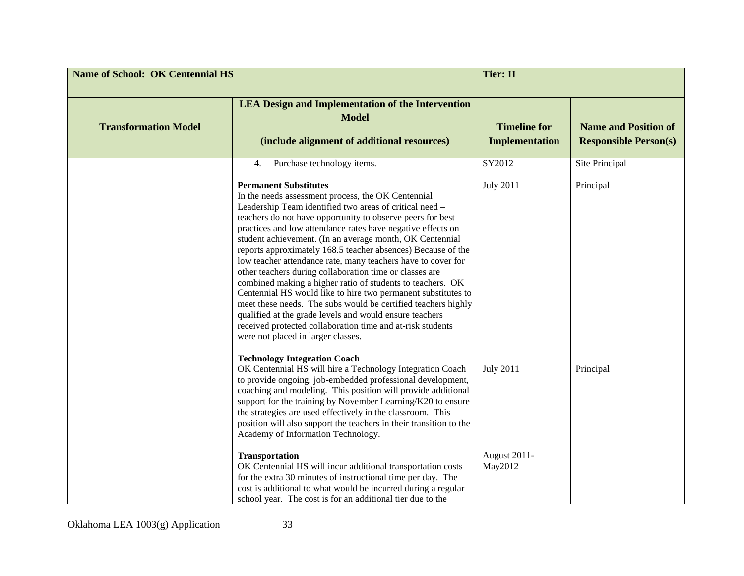| <b>Name of School: OK Centennial HS</b> | <b>Tier: II</b>                                                                                                                                                                                                                                                                                                                                                                                                                                                                                                                                                                                                                                                                                                                                                                                                                                                                                                                      |                                              |                                                             |
|-----------------------------------------|--------------------------------------------------------------------------------------------------------------------------------------------------------------------------------------------------------------------------------------------------------------------------------------------------------------------------------------------------------------------------------------------------------------------------------------------------------------------------------------------------------------------------------------------------------------------------------------------------------------------------------------------------------------------------------------------------------------------------------------------------------------------------------------------------------------------------------------------------------------------------------------------------------------------------------------|----------------------------------------------|-------------------------------------------------------------|
| <b>Transformation Model</b>             | <b>LEA Design and Implementation of the Intervention</b><br><b>Model</b><br>(include alignment of additional resources)                                                                                                                                                                                                                                                                                                                                                                                                                                                                                                                                                                                                                                                                                                                                                                                                              | <b>Timeline for</b><br><b>Implementation</b> | <b>Name and Position of</b><br><b>Responsible Person(s)</b> |
|                                         | Purchase technology items.<br>4.<br><b>Permanent Substitutes</b><br>In the needs assessment process, the OK Centennial<br>Leadership Team identified two areas of critical need -<br>teachers do not have opportunity to observe peers for best<br>practices and low attendance rates have negative effects on<br>student achievement. (In an average month, OK Centennial<br>reports approximately 168.5 teacher absences) Because of the<br>low teacher attendance rate, many teachers have to cover for<br>other teachers during collaboration time or classes are<br>combined making a higher ratio of students to teachers. OK<br>Centennial HS would like to hire two permanent substitutes to<br>meet these needs. The subs would be certified teachers highly<br>qualified at the grade levels and would ensure teachers<br>received protected collaboration time and at-risk students<br>were not placed in larger classes. | SY2012<br><b>July 2011</b>                   | Site Principal<br>Principal                                 |
|                                         | <b>Technology Integration Coach</b><br>OK Centennial HS will hire a Technology Integration Coach<br>to provide ongoing, job-embedded professional development,<br>coaching and modeling. This position will provide additional<br>support for the training by November Learning/K20 to ensure<br>the strategies are used effectively in the classroom. This<br>position will also support the teachers in their transition to the<br>Academy of Information Technology.                                                                                                                                                                                                                                                                                                                                                                                                                                                              | <b>July 2011</b>                             | Principal                                                   |
|                                         | <b>Transportation</b><br>OK Centennial HS will incur additional transportation costs<br>for the extra 30 minutes of instructional time per day. The<br>cost is additional to what would be incurred during a regular<br>school year. The cost is for an additional tier due to the                                                                                                                                                                                                                                                                                                                                                                                                                                                                                                                                                                                                                                                   | <b>August 2011-</b><br>May2012               |                                                             |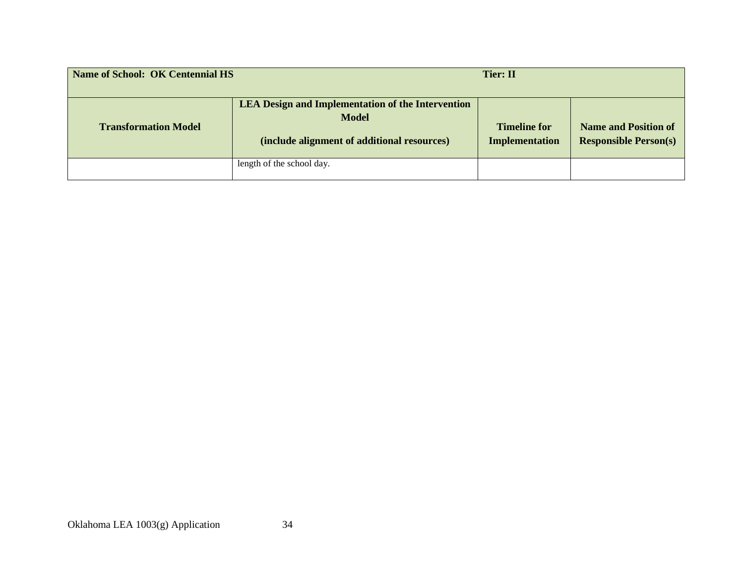| Name of School: OK Centennial HS |                                                                                                                         | <b>Tier: II</b>                              |                                                             |
|----------------------------------|-------------------------------------------------------------------------------------------------------------------------|----------------------------------------------|-------------------------------------------------------------|
| <b>Transformation Model</b>      | <b>LEA Design and Implementation of the Intervention</b><br><b>Model</b><br>(include alignment of additional resources) | <b>Timeline for</b><br><b>Implementation</b> | <b>Name and Position of</b><br><b>Responsible Person(s)</b> |
|                                  | length of the school day.                                                                                               |                                              |                                                             |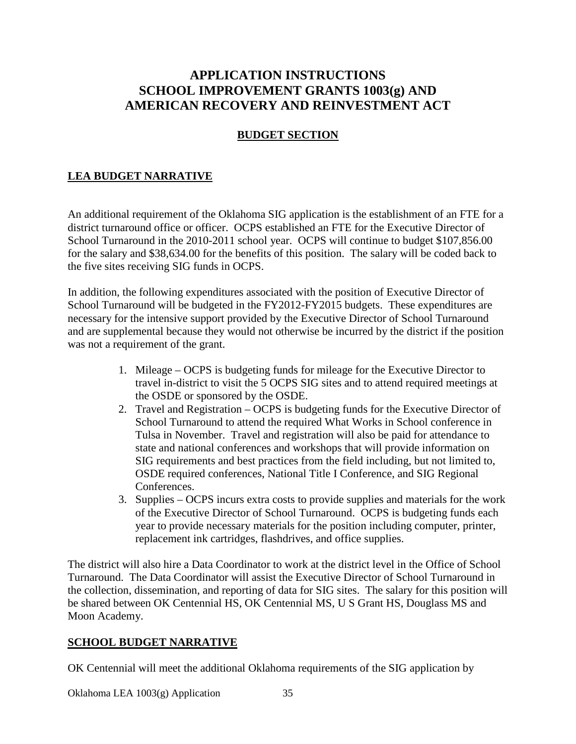# **APPLICATION INSTRUCTIONS SCHOOL IMPROVEMENT GRANTS 1003(g) AND AMERICAN RECOVERY AND REINVESTMENT ACT**

## **BUDGET SECTION**

## **LEA BUDGET NARRATIVE**

An additional requirement of the Oklahoma SIG application is the establishment of an FTE for a district turnaround office or officer. OCPS established an FTE for the Executive Director of School Turnaround in the 2010-2011 school year. OCPS will continue to budget \$107,856.00 for the salary and \$38,634.00 for the benefits of this position. The salary will be coded back to the five sites receiving SIG funds in OCPS.

In addition, the following expenditures associated with the position of Executive Director of School Turnaround will be budgeted in the FY2012-FY2015 budgets. These expenditures are necessary for the intensive support provided by the Executive Director of School Turnaround and are supplemental because they would not otherwise be incurred by the district if the position was not a requirement of the grant.

- 1. Mileage OCPS is budgeting funds for mileage for the Executive Director to travel in-district to visit the 5 OCPS SIG sites and to attend required meetings at the OSDE or sponsored by the OSDE.
- 2. Travel and Registration OCPS is budgeting funds for the Executive Director of School Turnaround to attend the required What Works in School conference in Tulsa in November. Travel and registration will also be paid for attendance to state and national conferences and workshops that will provide information on SIG requirements and best practices from the field including, but not limited to, OSDE required conferences, National Title I Conference, and SIG Regional Conferences.
- 3. Supplies OCPS incurs extra costs to provide supplies and materials for the work of the Executive Director of School Turnaround. OCPS is budgeting funds each year to provide necessary materials for the position including computer, printer, replacement ink cartridges, flashdrives, and office supplies.

The district will also hire a Data Coordinator to work at the district level in the Office of School Turnaround. The Data Coordinator will assist the Executive Director of School Turnaround in the collection, dissemination, and reporting of data for SIG sites. The salary for this position will be shared between OK Centennial HS, OK Centennial MS, U S Grant HS, Douglass MS and Moon Academy.

### **SCHOOL BUDGET NARRATIVE**

OK Centennial will meet the additional Oklahoma requirements of the SIG application by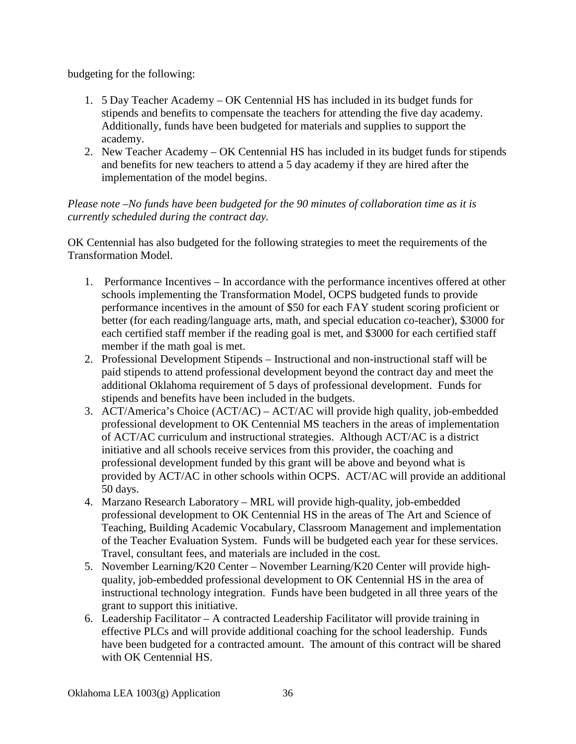budgeting for the following:

- 1. 5 Day Teacher Academy OK Centennial HS has included in its budget funds for stipends and benefits to compensate the teachers for attending the five day academy. Additionally, funds have been budgeted for materials and supplies to support the academy.
- 2. New Teacher Academy OK Centennial HS has included in its budget funds for stipends and benefits for new teachers to attend a 5 day academy if they are hired after the implementation of the model begins.

*Please note –No funds have been budgeted for the 90 minutes of collaboration time as it is currently scheduled during the contract day.*

OK Centennial has also budgeted for the following strategies to meet the requirements of the Transformation Model.

- 1. Performance Incentives In accordance with the performance incentives offered at other schools implementing the Transformation Model, OCPS budgeted funds to provide performance incentives in the amount of \$50 for each FAY student scoring proficient or better (for each reading/language arts, math, and special education co-teacher), \$3000 for each certified staff member if the reading goal is met, and \$3000 for each certified staff member if the math goal is met.
- 2. Professional Development Stipends Instructional and non-instructional staff will be paid stipends to attend professional development beyond the contract day and meet the additional Oklahoma requirement of 5 days of professional development. Funds for stipends and benefits have been included in the budgets.
- 3. ACT/America's Choice (ACT/AC) ACT/AC will provide high quality, job-embedded professional development to OK Centennial MS teachers in the areas of implementation of ACT/AC curriculum and instructional strategies. Although ACT/AC is a district initiative and all schools receive services from this provider, the coaching and professional development funded by this grant will be above and beyond what is provided by ACT/AC in other schools within OCPS. ACT/AC will provide an additional 50 days.
- 4. Marzano Research Laboratory MRL will provide high-quality, job-embedded professional development to OK Centennial HS in the areas of The Art and Science of Teaching, Building Academic Vocabulary, Classroom Management and implementation of the Teacher Evaluation System. Funds will be budgeted each year for these services. Travel, consultant fees, and materials are included in the cost.
- 5. November Learning/K20 Center November Learning/K20 Center will provide highquality, job-embedded professional development to OK Centennial HS in the area of instructional technology integration. Funds have been budgeted in all three years of the grant to support this initiative.
- 6. Leadership Facilitator A contracted Leadership Facilitator will provide training in effective PLCs and will provide additional coaching for the school leadership. Funds have been budgeted for a contracted amount. The amount of this contract will be shared with OK Centennial HS.